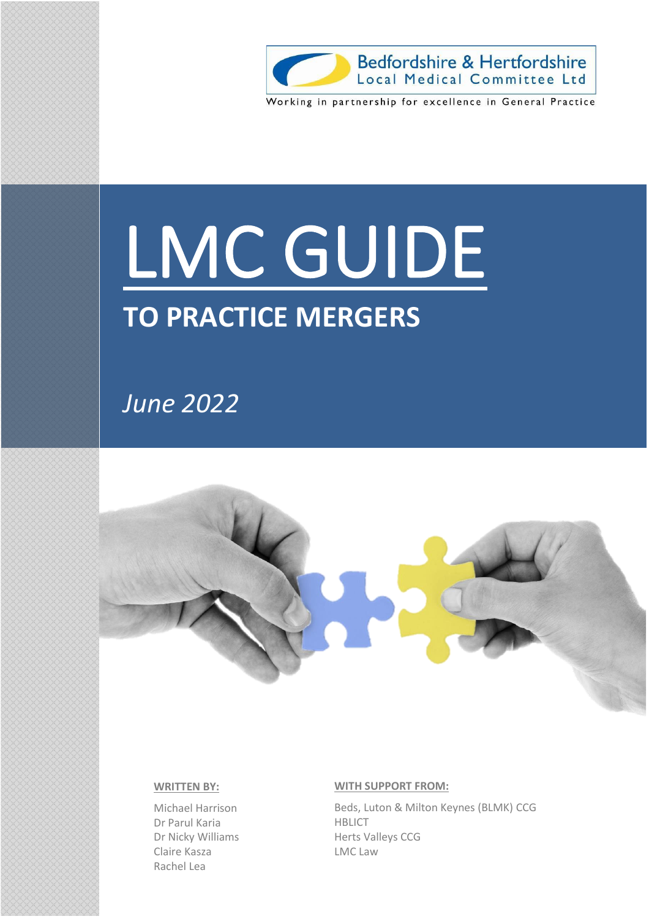

# LMC GUIDE

## **TO PRACTICE MERGERS**

*June 2022*



#### **WRITTEN BY:**

Michael Harrison Dr Parul Karia Dr Nicky Williams Claire Kasza Rachel Lea

#### **WITH SUPPORT FROM:**

Beds, Luton & Milton Keynes (BLMK) CCG HBLICT Herts Valleys CCG LMC Law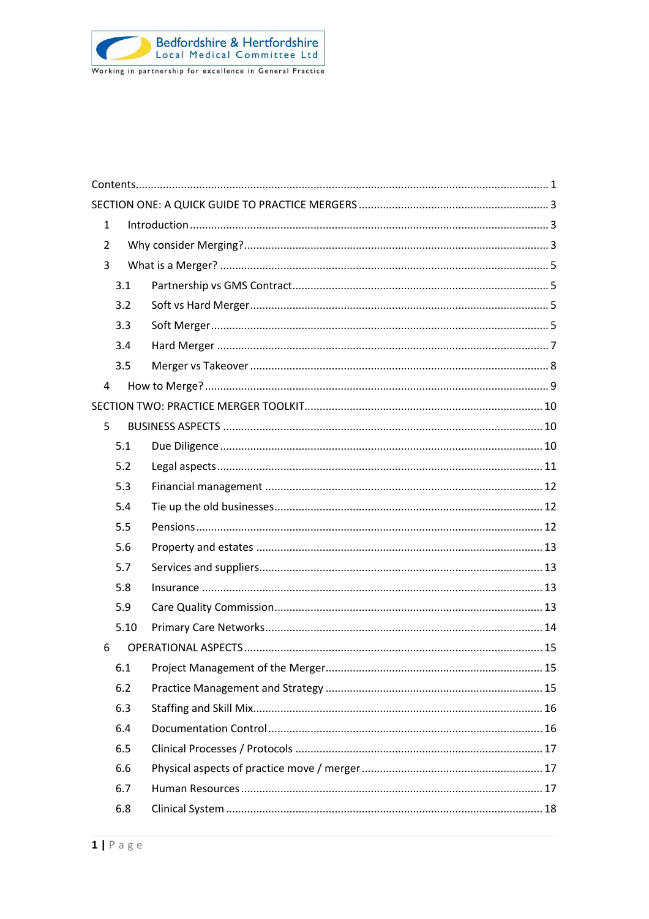<span id="page-1-0"></span>

| $\mathbf{1}$   |      |  |
|----------------|------|--|
| 2              |      |  |
| 3              |      |  |
|                | 3.1  |  |
|                | 3.2  |  |
|                | 3.3  |  |
|                | 3.4  |  |
|                | 3.5  |  |
| $\overline{4}$ |      |  |
|                |      |  |
| 5              |      |  |
|                | 5.1  |  |
|                | 5.2  |  |
|                | 5.3  |  |
|                | 5.4  |  |
|                | 5.5  |  |
|                | 5.6  |  |
|                | 5.7  |  |
|                | 5.8  |  |
|                | 5.9  |  |
|                | 5.10 |  |
| 6              |      |  |
|                | 6.1  |  |
|                | 6.2  |  |
|                | 6.3  |  |
|                | 6.4  |  |
|                | 6.5  |  |
|                | 6.6  |  |
|                | 6.7  |  |
|                | 6.8  |  |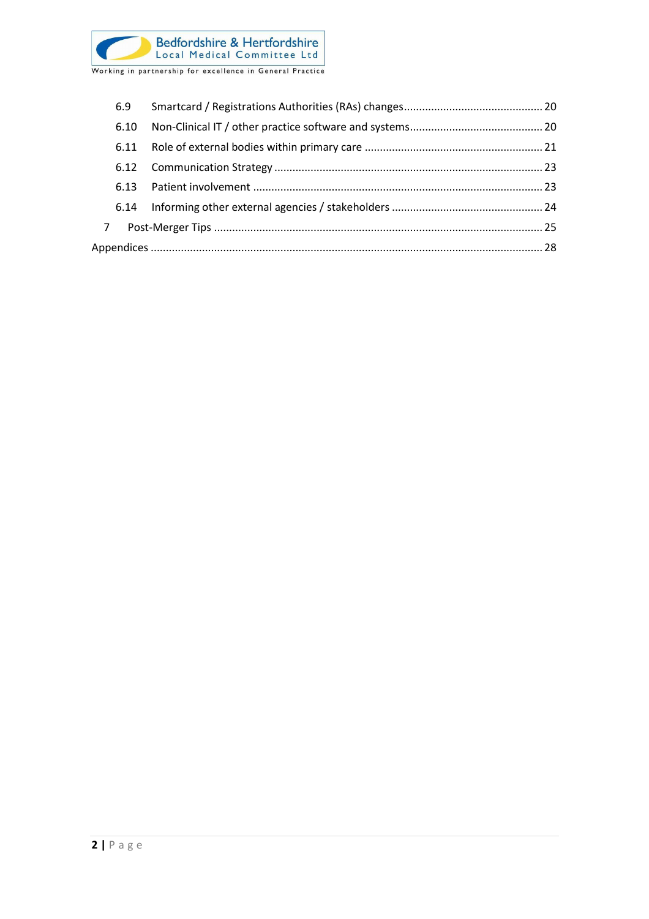

|             | 6.9  |  |
|-------------|------|--|
|             | 6.10 |  |
|             | 6.11 |  |
|             |      |  |
|             | 6.13 |  |
|             |      |  |
| $7^{\circ}$ |      |  |
|             |      |  |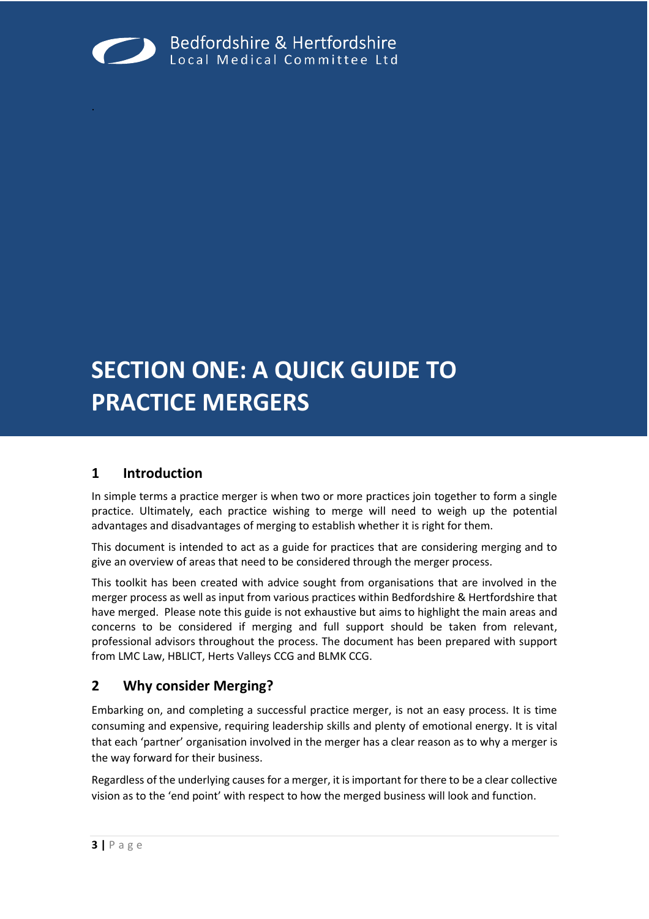

## **SECTION ONE: A QUICK GUIDE TO PRACTICE MERGERS**

#### <span id="page-3-1"></span>**1 Introduction**

<span id="page-3-0"></span>.

In simple terms a practice merger is when two or more practices join together to form a single practice. Ultimately, each practice wishing to merge will need to weigh up the potential advantages and disadvantages of merging to establish whether it is right for them.

This document is intended to act as a guide for practices that are considering merging and to give an overview of areas that need to be considered through the merger process.

This toolkit has been created with advice sought from organisations that are involved in the merger process as well as input from various practices within Bedfordshire & Hertfordshire that have merged. Please note this guide is not exhaustive but aims to highlight the main areas and concerns to be considered if merging and full support should be taken from relevant, professional advisors throughout the process. The document has been prepared with support from LMC Law, HBLICT, Herts Valleys CCG and BLMK CCG.

#### <span id="page-3-2"></span>**2 Why consider Merging?**

Embarking on, and completing a successful practice merger, is not an easy process. It is time consuming and expensive, requiring leadership skills and plenty of emotional energy. It is vital that each 'partner' organisation involved in the merger has a clear reason as to why a merger is the way forward for their business.

Regardless of the underlying causes for a merger, it is important for there to be a clear collective vision as to the 'end point' with respect to how the merged business will look and function.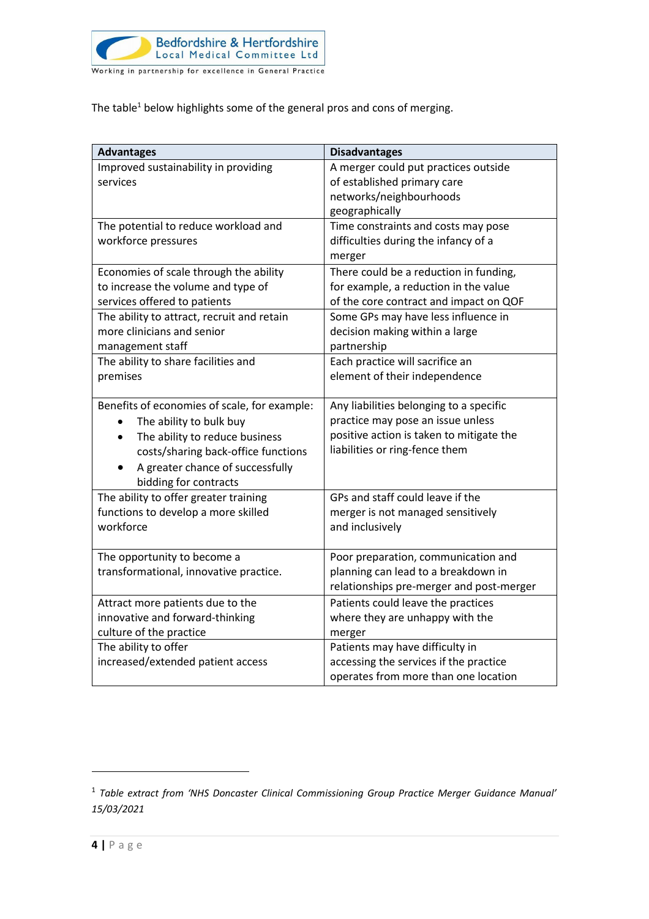

The table<sup>1</sup> below highlights some of the general pros and cons of merging.

| <b>Advantages</b>                            | <b>Disadvantages</b>                     |
|----------------------------------------------|------------------------------------------|
| Improved sustainability in providing         | A merger could put practices outside     |
| services                                     | of established primary care              |
|                                              | networks/neighbourhoods                  |
|                                              | geographically                           |
| The potential to reduce workload and         | Time constraints and costs may pose      |
| workforce pressures                          | difficulties during the infancy of a     |
|                                              | merger                                   |
| Economies of scale through the ability       | There could be a reduction in funding,   |
| to increase the volume and type of           | for example, a reduction in the value    |
| services offered to patients                 | of the core contract and impact on QOF   |
| The ability to attract, recruit and retain   | Some GPs may have less influence in      |
| more clinicians and senior                   | decision making within a large           |
| management staff                             | partnership                              |
| The ability to share facilities and          | Each practice will sacrifice an          |
| premises                                     | element of their independence            |
|                                              |                                          |
| Benefits of economies of scale, for example: | Any liabilities belonging to a specific  |
| The ability to bulk buy                      | practice may pose an issue unless        |
| The ability to reduce business<br>$\bullet$  | positive action is taken to mitigate the |
| costs/sharing back-office functions          | liabilities or ring-fence them           |
| A greater chance of successfully             |                                          |
| bidding for contracts                        |                                          |
| The ability to offer greater training        | GPs and staff could leave if the         |
| functions to develop a more skilled          | merger is not managed sensitively        |
| workforce                                    | and inclusively                          |
|                                              |                                          |
| The opportunity to become a                  | Poor preparation, communication and      |
| transformational, innovative practice.       | planning can lead to a breakdown in      |
|                                              | relationships pre-merger and post-merger |
| Attract more patients due to the             | Patients could leave the practices       |
| innovative and forward-thinking              | where they are unhappy with the          |
| culture of the practice                      | merger                                   |
| The ability to offer                         | Patients may have difficulty in          |
| increased/extended patient access            | accessing the services if the practice   |
|                                              | operates from more than one location     |

<sup>1</sup> *Table extract from 'NHS Doncaster Clinical Commissioning Group Practice Merger Guidance Manual' 15/03/2021*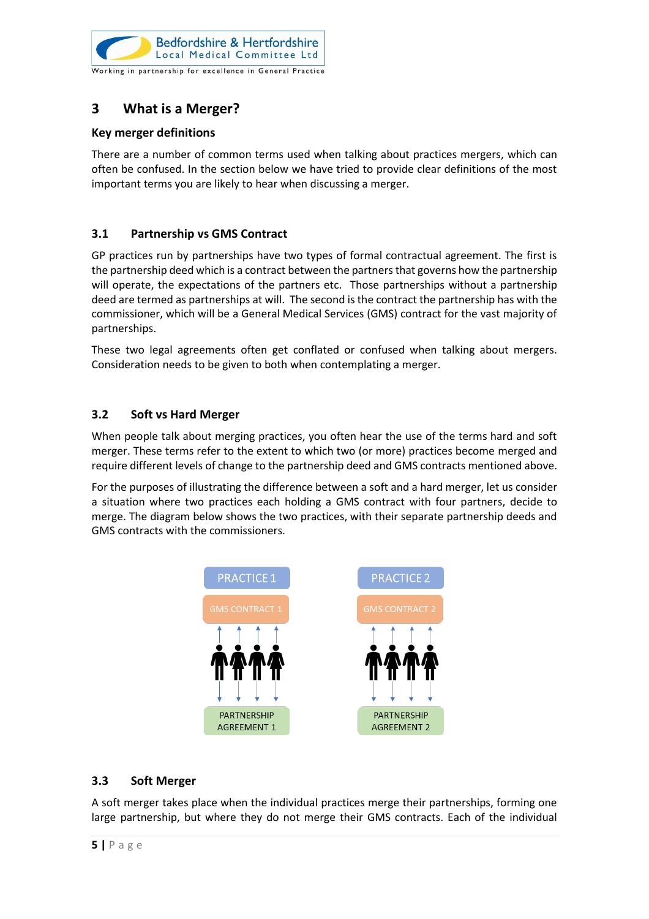

#### <span id="page-5-0"></span>**3 What is a Merger?**

#### **Key merger definitions**

There are a number of common terms used when talking about practices mergers, which can often be confused. In the section below we have tried to provide clear definitions of the most important terms you are likely to hear when discussing a merger.

#### <span id="page-5-1"></span>**3.1 Partnership vs GMS Contract**

GP practices run by partnerships have two types of formal contractual agreement. The first is the partnership deed which is a contract between the partners that governs how the partnership will operate, the expectations of the partners etc. Those partnerships without a partnership deed are termed as partnerships at will. The second is the contract the partnership has with the commissioner, which will be a General Medical Services (GMS) contract for the vast majority of partnerships.

These two legal agreements often get conflated or confused when talking about mergers. Consideration needs to be given to both when contemplating a merger.

#### <span id="page-5-2"></span>**3.2 Soft vs Hard Merger**

When people talk about merging practices, you often hear the use of the terms hard and soft merger. These terms refer to the extent to which two (or more) practices become merged and require different levels of change to the partnership deed and GMS contracts mentioned above.

For the purposes of illustrating the difference between a soft and a hard merger, let us consider a situation where two practices each holding a GMS contract with four partners, decide to merge. The diagram below shows the two practices, with their separate partnership deeds and GMS contracts with the commissioners.



#### <span id="page-5-3"></span>**3.3 Soft Merger**

A soft merger takes place when the individual practices merge their partnerships, forming one large partnership, but where they do not merge their GMS contracts. Each of the individual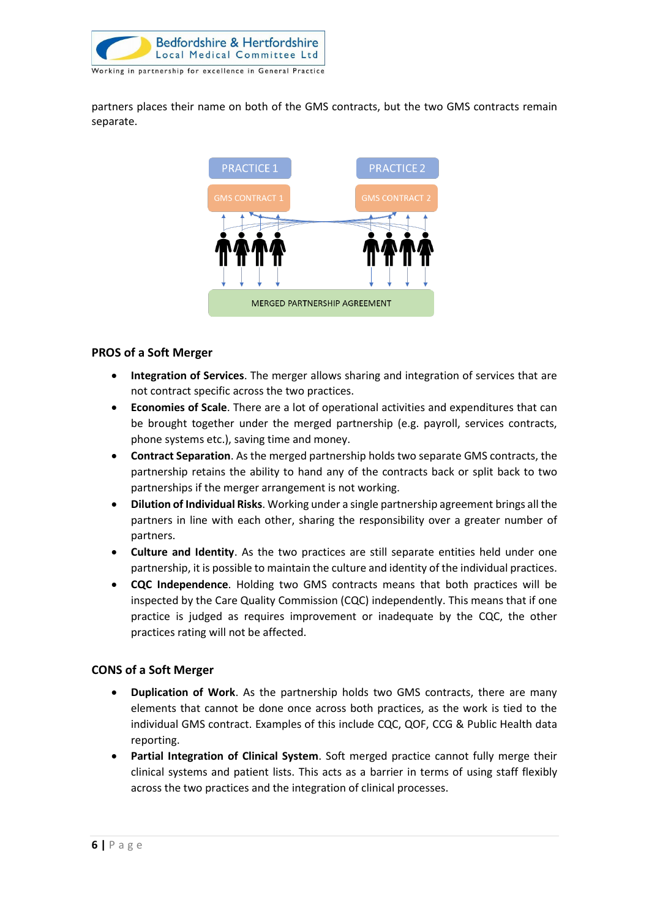

partners places their name on both of the GMS contracts, but the two GMS contracts remain separate.



#### **PROS of a Soft Merger**

- **Integration of Services**. The merger allows sharing and integration of services that are not contract specific across the two practices.
- **Economies of Scale**. There are a lot of operational activities and expenditures that can be brought together under the merged partnership (e.g. payroll, services contracts, phone systems etc.), saving time and money.
- **Contract Separation**. As the merged partnership holds two separate GMS contracts, the partnership retains the ability to hand any of the contracts back or split back to two partnerships if the merger arrangement is not working.
- **Dilution of Individual Risks**. Working under a single partnership agreement brings all the partners in line with each other, sharing the responsibility over a greater number of partners.
- **Culture and Identity**. As the two practices are still separate entities held under one partnership, it is possible to maintain the culture and identity of the individual practices.
- **CQC Independence**. Holding two GMS contracts means that both practices will be inspected by the Care Quality Commission (CQC) independently. This means that if one practice is judged as requires improvement or inadequate by the CQC, the other practices rating will not be affected.

#### **CONS of a Soft Merger**

- **Duplication of Work**. As the partnership holds two GMS contracts, there are many elements that cannot be done once across both practices, as the work is tied to the individual GMS contract. Examples of this include CQC, QOF, CCG & Public Health data reporting.
- **Partial Integration of Clinical System**. Soft merged practice cannot fully merge their clinical systems and patient lists. This acts as a barrier in terms of using staff flexibly across the two practices and the integration of clinical processes.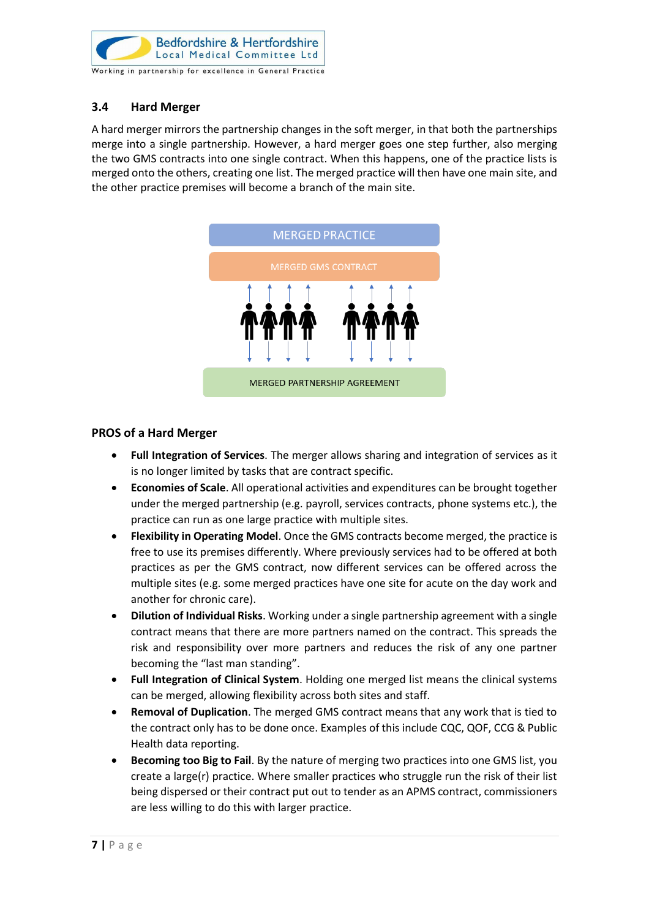

#### <span id="page-7-0"></span>**3.4 Hard Merger**

A hard merger mirrors the partnership changes in the soft merger, in that both the partnerships merge into a single partnership. However, a hard merger goes one step further, also merging the two GMS contracts into one single contract. When this happens, one of the practice lists is merged onto the others, creating one list. The merged practice will then have one main site, and the other practice premises will become a branch of the main site.



#### **PROS of a Hard Merger**

- **Full Integration of Services**. The merger allows sharing and integration of services as it is no longer limited by tasks that are contract specific.
- **Economies of Scale**. All operational activities and expenditures can be brought together under the merged partnership (e.g. payroll, services contracts, phone systems etc.), the practice can run as one large practice with multiple sites.
- **Flexibility in Operating Model**. Once the GMS contracts become merged, the practice is free to use its premises differently. Where previously services had to be offered at both practices as per the GMS contract, now different services can be offered across the multiple sites (e.g. some merged practices have one site for acute on the day work and another for chronic care).
- **Dilution of Individual Risks**. Working under a single partnership agreement with a single contract means that there are more partners named on the contract. This spreads the risk and responsibility over more partners and reduces the risk of any one partner becoming the "last man standing".
- **Full Integration of Clinical System**. Holding one merged list means the clinical systems can be merged, allowing flexibility across both sites and staff.
- **Removal of Duplication**. The merged GMS contract means that any work that is tied to the contract only has to be done once. Examples of this include CQC, QOF, CCG & Public Health data reporting.
- **Becoming too Big to Fail**. By the nature of merging two practices into one GMS list, you create a large(r) practice. Where smaller practices who struggle run the risk of their list being dispersed or their contract put out to tender as an APMS contract, commissioners are less willing to do this with larger practice.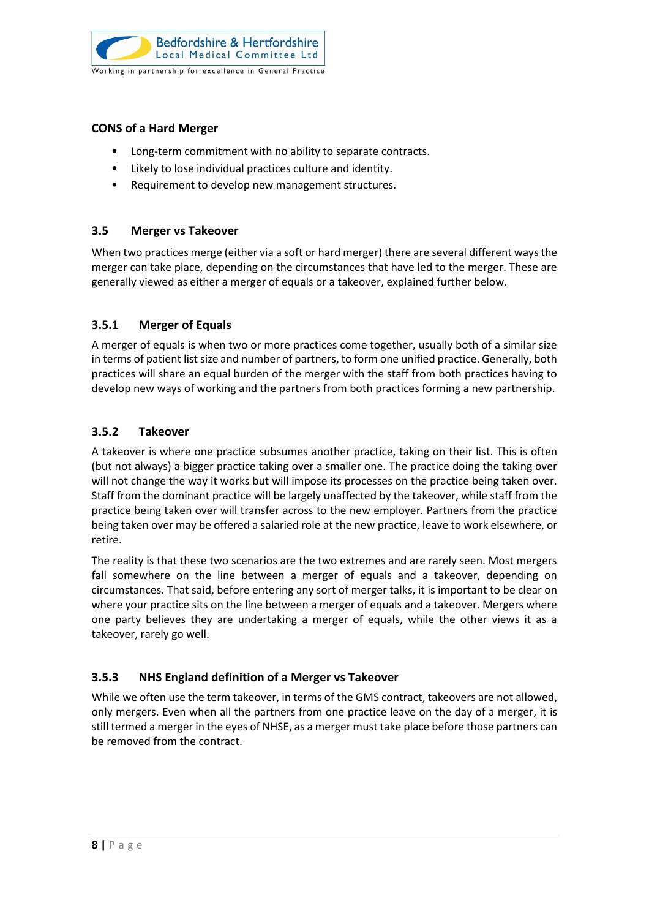

#### **CONS of a Hard Merger**

- Long-term commitment with no ability to separate contracts.
- Likely to lose individual practices culture and identity.
- Requirement to develop new management structures.

#### <span id="page-8-0"></span>**3.5 Merger vs Takeover**

When two practices merge (either via a soft or hard merger) there are several different ways the merger can take place, depending on the circumstances that have led to the merger. These are generally viewed as either a merger of equals or a takeover, explained further below.

#### **3.5.1 Merger of Equals**

A merger of equals is when two or more practices come together, usually both of a similar size in terms of patient list size and number of partners, to form one unified practice. Generally, both practices will share an equal burden of the merger with the staff from both practices having to develop new ways of working and the partners from both practices forming a new partnership.

#### **3.5.2 Takeover**

A takeover is where one practice subsumes another practice, taking on their list. This is often (but not always) a bigger practice taking over a smaller one. The practice doing the taking over will not change the way it works but will impose its processes on the practice being taken over. Staff from the dominant practice will be largely unaffected by the takeover, while staff from the practice being taken over will transfer across to the new employer. Partners from the practice being taken over may be offered a salaried role at the new practice, leave to work elsewhere, or retire.

The reality is that these two scenarios are the two extremes and are rarely seen. Most mergers fall somewhere on the line between a merger of equals and a takeover, depending on circumstances. That said, before entering any sort of merger talks, it is important to be clear on where your practice sits on the line between a merger of equals and a takeover. Mergers where one party believes they are undertaking a merger of equals, while the other views it as a takeover, rarely go well.

#### **3.5.3 NHS England definition of a Merger vs Takeover**

While we often use the term takeover, in terms of the GMS contract, takeovers are not allowed, only mergers. Even when all the partners from one practice leave on the day of a merger, it is still termed a merger in the eyes of NHSE, as a merger must take place before those partners can be removed from the contract.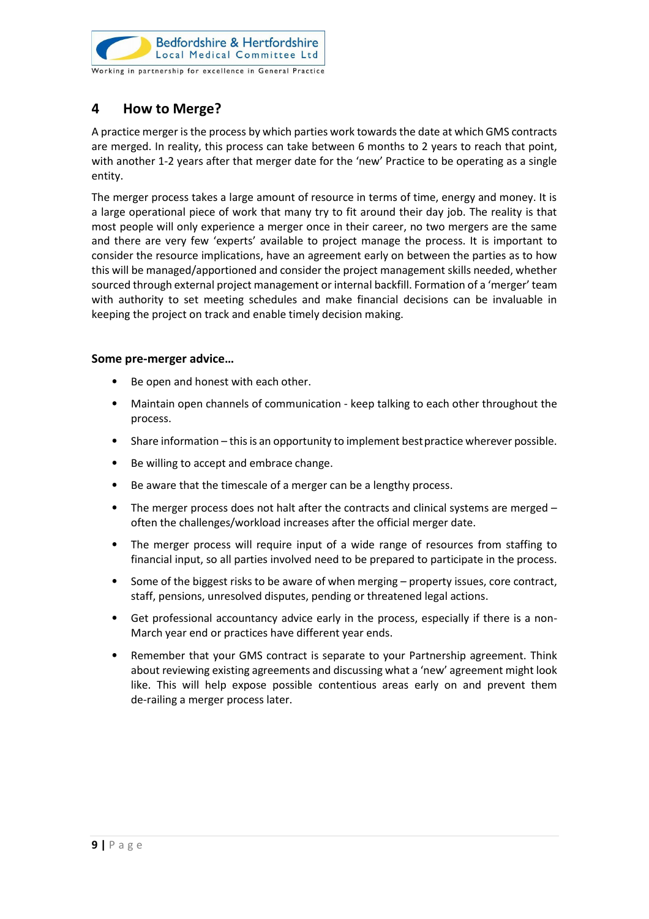

#### <span id="page-9-0"></span>**4 How to Merge?**

A practice merger is the process by which parties work towards the date at which GMS contracts are merged. In reality, this process can take between 6 months to 2 years to reach that point, with another 1-2 years after that merger date for the 'new' Practice to be operating as a single entity.

The merger process takes a large amount of resource in terms of time, energy and money. It is a large operational piece of work that many try to fit around their day job. The reality is that most people will only experience a merger once in their career, no two mergers are the same and there are very few 'experts' available to project manage the process. It is important to consider the resource implications, have an agreement early on between the parties as to how this will be managed/apportioned and consider the project management skills needed, whether sourced through external project management or internal backfill. Formation of a 'merger' team with authority to set meeting schedules and make financial decisions can be invaluable in keeping the project on track and enable timely decision making.

#### **Some pre-merger advice…**

- Be open and honest with each other.
- Maintain open channels of communication keep talking to each other throughout the process.
- Share information this is an opportunity to implement bestpractice wherever possible.
- Be willing to accept and embrace change.
- Be aware that the timescale of a merger can be a lengthy process.
- The merger process does not halt after the contracts and clinical systems are merged often the challenges/workload increases after the official merger date.
- The merger process will require input of a wide range of resources from staffing to financial input, so all parties involved need to be prepared to participate in the process.
- Some of the biggest risks to be aware of when merging property issues, core contract, staff, pensions, unresolved disputes, pending or threatened legal actions.
- Get professional accountancy advice early in the process, especially if there is a non-March year end or practices have different year ends.
- Remember that your GMS contract is separate to your Partnership agreement. Think about reviewing existing agreements and discussing what a 'new' agreement might look like. This will help expose possible contentious areas early on and prevent them de-railing a merger process later.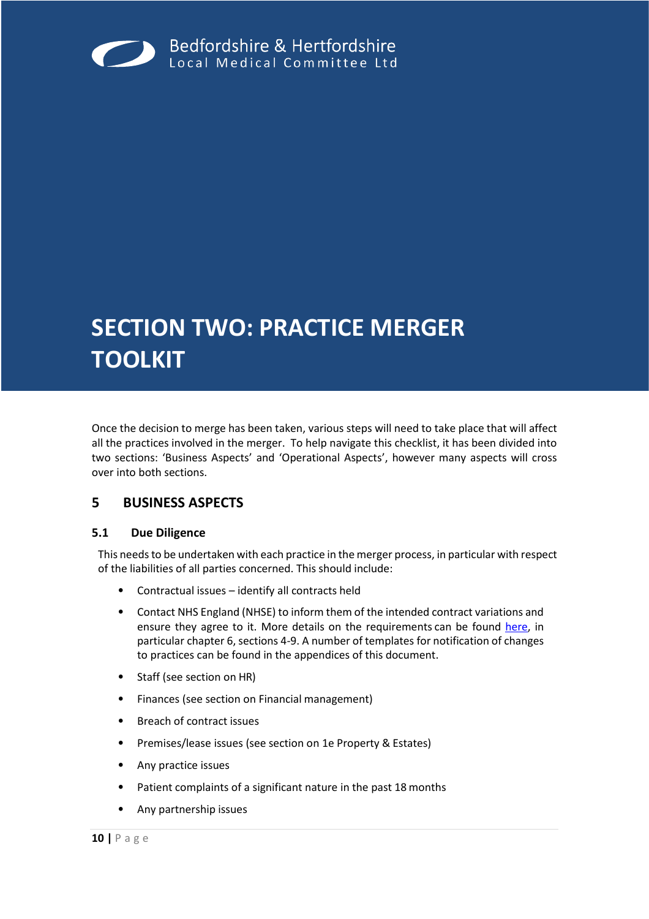<span id="page-10-0"></span>

## **SECTION TWO: PRACTICE MERGER TOOLKIT**

Once the decision to merge has been taken, various steps will need to take place that will affect all the practices involved in the merger. To help navigate this checklist, it has been divided into two sections: 'Business Aspects' and 'Operational Aspects', however many aspects will cross over into both sections.

#### <span id="page-10-1"></span>**5 BUSINESS ASPECTS**

#### <span id="page-10-2"></span>**5.1 Due Diligence**

This needs to be undertaken with each practice in the merger process, in particular with respect of the liabilities of all parties concerned. This should include:

- Contractual issues identify all contracts held
- Contact NHS England (NHSE) to inform them of the intended contract variations and ensure they agree to it. More details on the requirements can be found [here,](https://www.england.nhs.uk/commissioning/wp-content/uploads/sites/12/2016/01/policy-book-pms.pdf) in particular chapter 6, sections 4-9. A number of templates for notification of changes to practices can be found in the appendices of this document.
- Staff (see section on HR)
- Finances (see section on Financial management)
- Breach of contract issues
- Premises/lease issues (see section on 1e Property & Estates)
- Any practice issues
- Patient complaints of a significant nature in the past 18 months
- Any partnership issues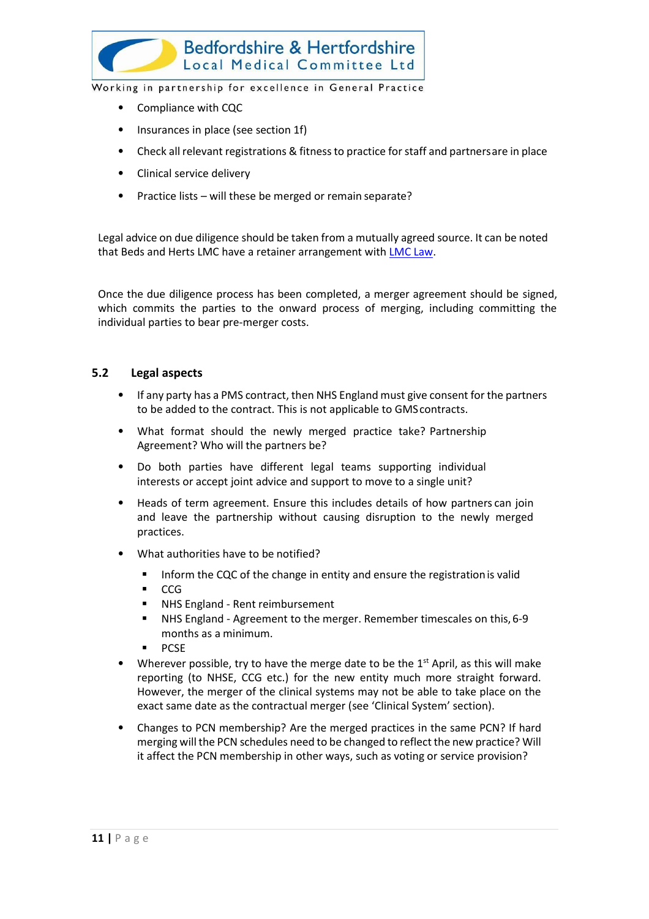

- Compliance with CQC
- Insurances in place (see section 1f)
- Check all relevant registrations & fitness to practice for staff and partnersare in place
- Clinical service delivery
- Practice lists will these be merged or remain separate?

Legal advice on due diligence should be taken from a mutually agreed source. It can be noted that Beds and Herts LMC have a retainer arrangement with [LMC Law.](http://www.lmclaw.co.uk/our-services/)

Once the due diligence process has been completed, a merger agreement should be signed, which commits the parties to the onward process of merging, including committing the individual parties to bear pre-merger costs.

#### <span id="page-11-0"></span>**5.2 Legal aspects**

- If any party has a PMS contract, then NHS England must give consent for the partners to be added to the contract. This is not applicable to GMScontracts.
- What format should the newly merged practice take? Partnership Agreement? Who will the partners be?
- Do both parties have different legal teams supporting individual interests or accept joint advice and support to move to a single unit?
- Heads of term agreement. Ensure this includes details of how partners can join and leave the partnership without causing disruption to the newly merged practices.
- What authorities have to be notified?
	- **■** Inform the CQC of the change in entity and ensure the registration is valid
	- CCG
	- NHS England Rent reimbursement
	- NHS England Agreement to the merger. Remember timescales on this, 6-9 months as a minimum.
	- PCSE
- Wherever possible, try to have the merge date to be the  $1<sup>st</sup>$  April, as this will make reporting (to NHSE, CCG etc.) for the new entity much more straight forward. However, the merger of the clinical systems may not be able to take place on the exact same date as the contractual merger (see 'Clinical System' section).
- Changes to PCN membership? Are the merged practices in the same PCN? If hard merging will the PCN schedules need to be changed to reflect the new practice? Will it affect the PCN membership in other ways, such as voting or service provision?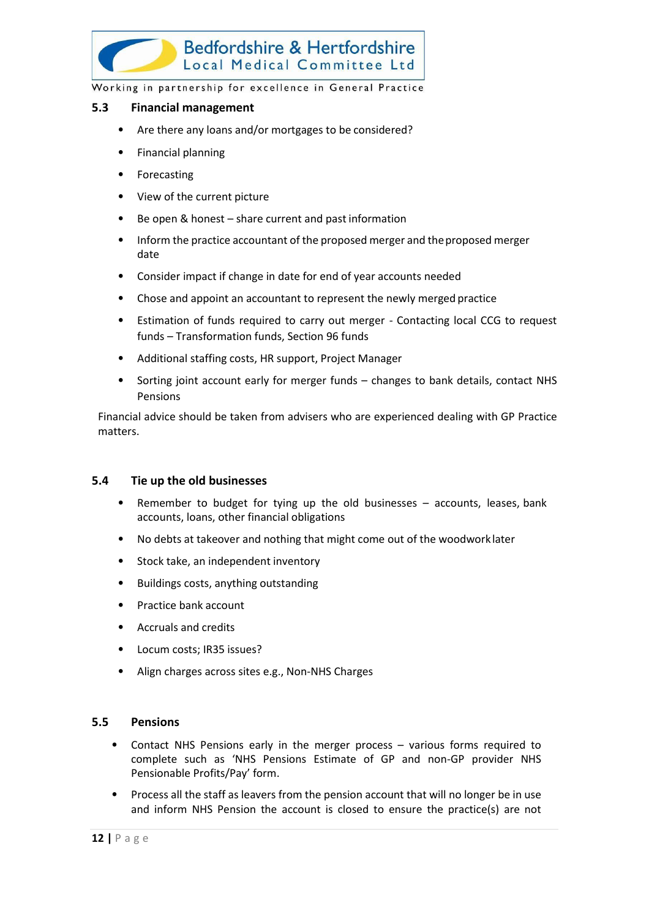

#### Bedfordshire & Hertfordshire Local Medical Committee Ltd

Working in partnership for excellence in General Practice

#### <span id="page-12-0"></span>**5.3 Financial management**

- Are there any loans and/or mortgages to be considered?
- Financial planning
- **Forecasting**
- View of the current picture
- Be open & honest share current and past information
- Inform the practice accountant of the proposed merger and theproposed merger date
- Consider impact if change in date for end of year accounts needed
- Chose and appoint an accountant to represent the newly merged practice
- Estimation of funds required to carry out merger Contacting local CCG to request funds – Transformation funds, Section 96 funds
- Additional staffing costs, HR support, Project Manager
- Sorting joint account early for merger funds changes to bank details, contact NHS Pensions

Financial advice should be taken from advisers who are experienced dealing with GP Practice matters.

#### <span id="page-12-1"></span>**5.4 Tie up the old businesses**

- Remember to budget for tying up the old businesses accounts, leases, bank accounts, loans, other financial obligations
- No debts at takeover and nothing that might come out of the woodwork later
- Stock take, an independent inventory
- Buildings costs, anything outstanding
- Practice bank account
- Accruals and credits
- Locum costs; IR35 issues?
- Align charges across sites e.g., Non-NHS Charges

#### <span id="page-12-2"></span>**5.5 Pensions**

- Contact NHS Pensions early in the merger process various forms required to complete such as 'NHS Pensions Estimate of GP and non-GP provider NHS Pensionable Profits/Pay' form.
- Process all the staff as leavers from the pension account that will no longer be in use and inform NHS Pension the account is closed to ensure the practice(s) are not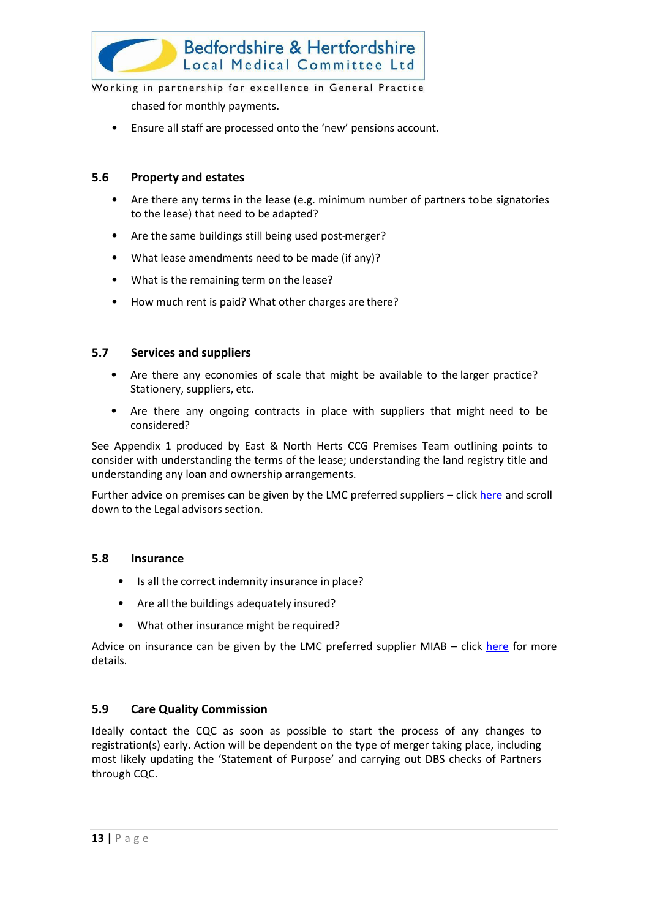

chased for monthly payments.

• Ensure all staff are processed onto the 'new' pensions account.

#### <span id="page-13-0"></span>**5.6 Property and estates**

- Are there any terms in the lease (e.g. minimum number of partners tobe signatories to the lease) that need to be adapted?
- Are the same buildings still being used post-merger?
- What lease amendments need to be made (if any)?
- What is the remaining term on the lease?
- How much rent is paid? What other charges are there?

#### <span id="page-13-1"></span>**5.7 Services and suppliers**

- Are there any economies of scale that might be available to the larger practice? Stationery, suppliers, etc.
- Are there any ongoing contracts in place with suppliers that might need to be considered?

See Appendix 1 produced by East & North Herts CCG Premises Team outlining points to consider with understanding the terms of the lease; understanding the land registry title and understanding any loan and ownership arrangements.

Further advice on premises can be given by the LMC preferred suppliers – click [here](http://www.bedshertslmcapprovedconsultants.co.uk/by-business-sector/) and scroll down to the Legal advisors section.

#### <span id="page-13-2"></span>**5.8 Insurance**

- Is all the correct indemnity insurance in place?
- Are all the buildings adequately insured?
- What other insurance might be required?

Advice on insurance can be given by the LMC preferred supplier MIAB  $-$  click [here](http://www.bedshertslmcapprovedconsultants.co.uk/wp-content/uploads/2016/02/MIAB-Flier-Beds-and-Herts-Final.pdf) for more details.

#### <span id="page-13-3"></span>**5.9 Care Quality Commission**

Ideally contact the CQC as soon as possible to start the process of any changes to registration(s) early. Action will be dependent on the type of merger taking place, including most likely updating the 'Statement of Purpose' and carrying out DBS checks of Partners through CQC.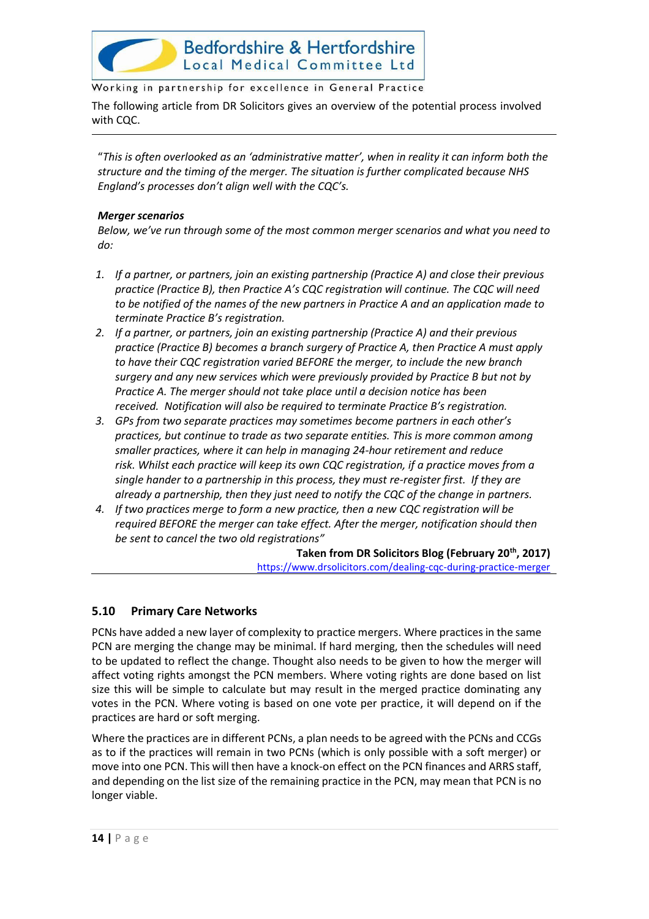

The following article from DR Solicitors gives an overview of the potential process involved with CQC.

"*This is often overlooked as an 'administrative matter', when in reality it can inform both the structure and the timing of the merger. The situation is further complicated because NHS England's processes don't align well with the CQC's.* 

#### *Merger scenarios*

*Below, we've run through some of the most common merger scenarios and what you need to do:*

- *1. If a partner, or partners, join an existing partnership (Practice A) and close their previous practice (Practice B), then Practice A's CQC registration will continue. The CQC will need to be notified of the names of the new partners in Practice A and an application made to terminate Practice B's registration.*
- *2. If a partner, or partners, join an existing partnership (Practice A) and their previous practice (Practice B) becomes a branch surgery of Practice A, then Practice A must apply to have their CQC registration varied BEFORE the merger, to include the new branch surgery and any new services which were previously provided by Practice B but not by Practice A. The merger should not take place until a decision notice has been received. Notification will also be required to terminate Practice B's registration.*
- *3. GPs from two separate practices may sometimes become partners in each other's practices, but continue to trade as two separate entities. This is more common among smaller practices, where it can help in managing 24-hour retirement and reduce risk. Whilst each practice will keep its own CQC registration, if a practice moves from a single hander to a partnership in this process, they must re-register first. If they are already a partnership, then they just need to notify the CQC of the change in partners.*
- *4. If two practices merge to form a new practice, then a new CQC registration will be required BEFORE the merger can take effect. After the merger, notification should then be sent to cancel the two old registrations"*

**Taken from DR Solicitors Blog (February 20th, 2017)** <https://www.drsolicitors.com/dealing-cqc-during-practice-merger>

#### <span id="page-14-0"></span>**5.10 Primary Care Networks**

PCNs have added a new layer of complexity to practice mergers. Where practices in the same PCN are merging the change may be minimal. If hard merging, then the schedules will need to be updated to reflect the change. Thought also needs to be given to how the merger will affect voting rights amongst the PCN members. Where voting rights are done based on list size this will be simple to calculate but may result in the merged practice dominating any votes in the PCN. Where voting is based on one vote per practice, it will depend on if the practices are hard or soft merging.

Where the practices are in different PCNs, a plan needs to be agreed with the PCNs and CCGs as to if the practices will remain in two PCNs (which is only possible with a soft merger) or move into one PCN. This will then have a knock-on effect on the PCN finances and ARRS staff, and depending on the list size of the remaining practice in the PCN, may mean that PCN is no longer viable.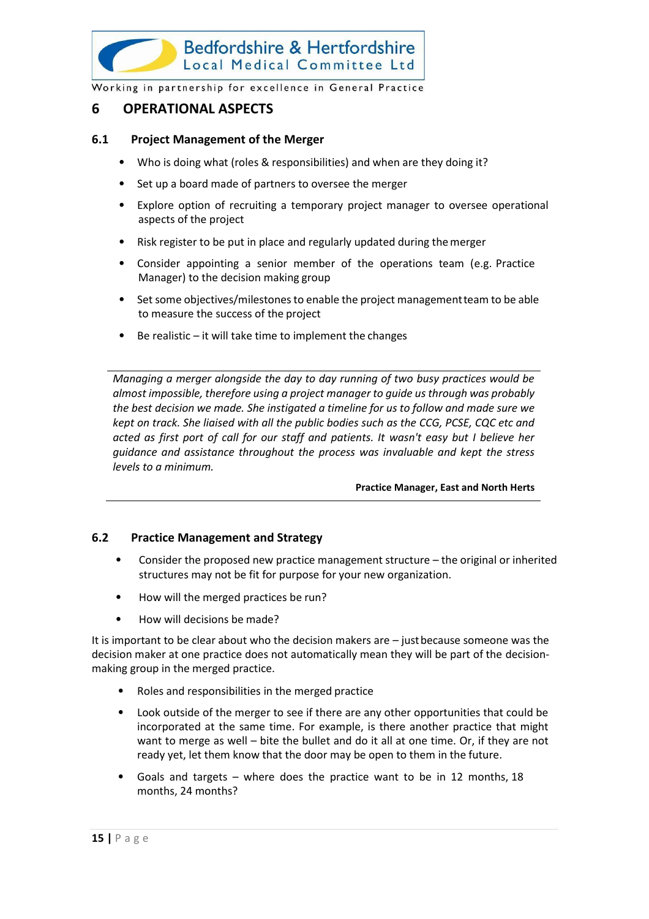

#### <span id="page-15-0"></span>**6 OPERATIONAL ASPECTS**

#### <span id="page-15-1"></span>**6.1 Project Management of the Merger**

- Who is doing what (roles & responsibilities) and when are they doing it?
- Set up a board made of partners to oversee the merger
- Explore option of recruiting a temporary project manager to oversee operational aspects of the project
- Risk register to be put in place and regularly updated during themerger
- Consider appointing a senior member of the operations team (e.g. Practice Manager) to the decision making group
- Set some objectives/milestones to enable the project management team to be able to measure the success of the project
- Be realistic  $-$  it will take time to implement the changes

*Managing a merger alongside the day to day running of two busy practices would be almost impossible, therefore using a project manager to guide us through was probably the best decision we made. She instigated a timeline for us to follow and made sure we kept on track. She liaised with all the public bodies such as the CCG, PCSE, CQC etc and acted as first port of call for our staff and patients. It wasn't easy but I believe her guidance and assistance throughout the process was invaluable and kept the stress levels to a minimum.*

#### **Practice Manager, East and North Herts**

#### <span id="page-15-2"></span>**6.2 Practice Management and Strategy**

- Consider the proposed new practice management structure the original or inherited structures may not be fit for purpose for your new organization.
- How will the merged practices be run?
- How will decisions be made?

It is important to be clear about who the decision makers are – justbecause someone was the decision maker at one practice does not automatically mean they will be part of the decisionmaking group in the merged practice.

- Roles and responsibilities in the merged practice
- Look outside of the merger to see if there are any other opportunities that could be incorporated at the same time. For example, is there another practice that might want to merge as well – bite the bullet and do it all at one time. Or, if they are not ready yet, let them know that the door may be open to them in the future.
- Goals and targets where does the practice want to be in 12 months,  $18$ months, 24 months?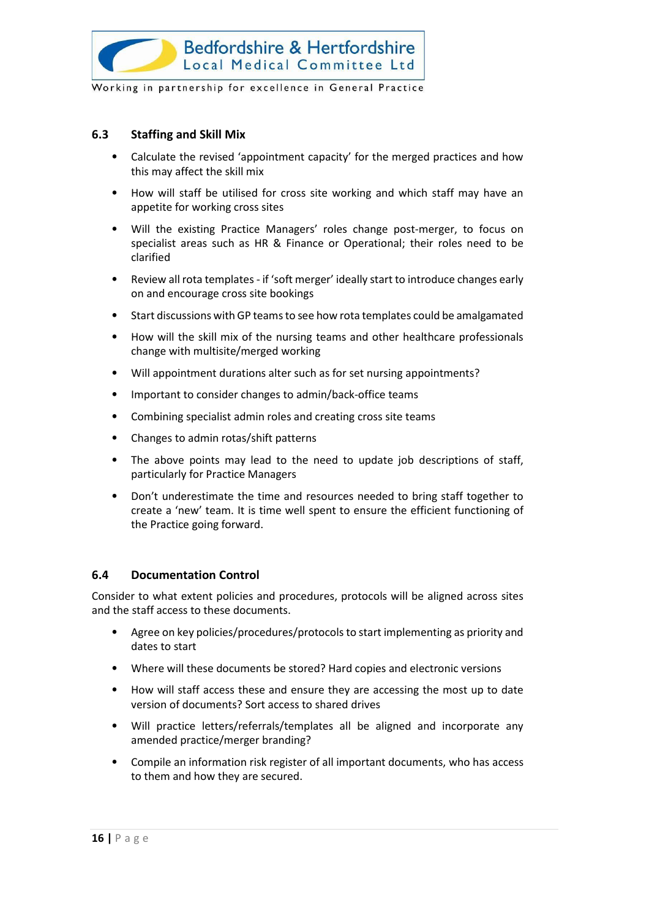

#### <span id="page-16-0"></span>**6.3 Staffing and Skill Mix**

- Calculate the revised 'appointment capacity' for the merged practices and how this may affect the skill mix
- How will staff be utilised for cross site working and which staff may have an appetite for working cross sites
- Will the existing Practice Managers' roles change post-merger, to focus on specialist areas such as HR & Finance or Operational; their roles need to be clarified
- Review all rota templates if 'soft merger' ideally start to introduce changes early on and encourage cross site bookings
- Start discussions with GP teams to see how rota templates could be amalgamated
- How will the skill mix of the nursing teams and other healthcare professionals change with multisite/merged working
- Will appointment durations alter such as for set nursing appointments?
- Important to consider changes to admin/back-office teams
- Combining specialist admin roles and creating cross site teams
- Changes to admin rotas/shift patterns
- The above points may lead to the need to update job descriptions of staff, particularly for Practice Managers
- Don't underestimate the time and resources needed to bring staff together to create a 'new' team. It is time well spent to ensure the efficient functioning of the Practice going forward.

#### <span id="page-16-1"></span>**6.4 Documentation Control**

Consider to what extent policies and procedures, protocols will be aligned across sites and the staff access to these documents.

- Agree on key policies/procedures/protocols to start implementing as priority and dates to start
- Where will these documents be stored? Hard copies and electronic versions
- How will staff access these and ensure they are accessing the most up to date version of documents? Sort access to shared drives
- Will practice letters/referrals/templates all be aligned and incorporate any amended practice/merger branding?
- Compile an information risk register of all important documents, who has access to them and how they are secured.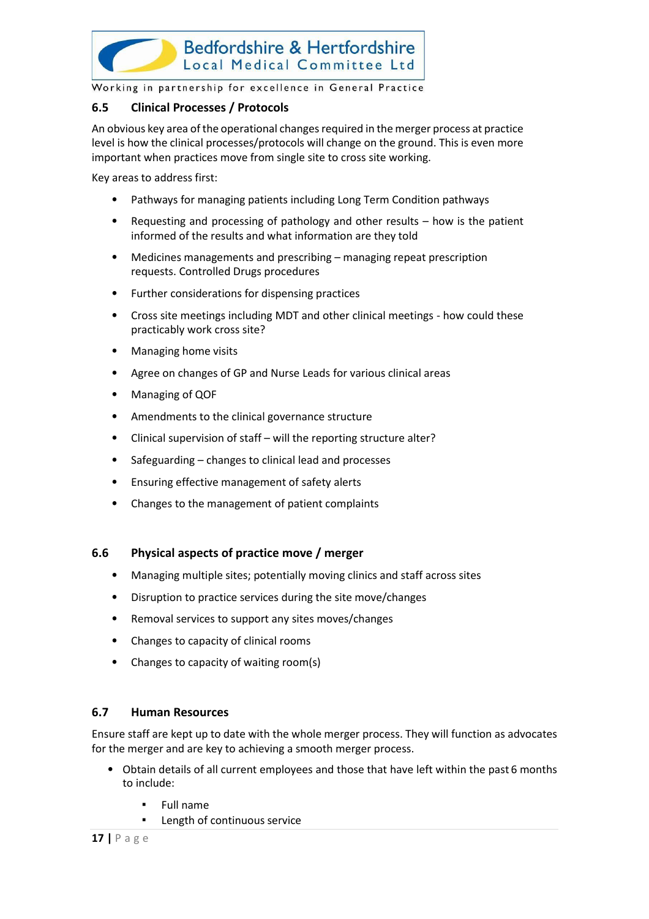

#### <span id="page-17-0"></span>**6.5 Clinical Processes / Protocols**

An obvious key area of the operational changes required in the merger process at practice level is how the clinical processes/protocols will change on the ground. This is even more important when practices move from single site to cross site working.

Key areas to address first:

- Pathways for managing patients including Long Term Condition pathways
- Requesting and processing of pathology and other results how is the patient informed of the results and what information are they told
- Medicines managements and prescribing managing repeat prescription requests. Controlled Drugs procedures
- Further considerations for dispensing practices
- Cross site meetings including MDT and other clinical meetings how could these practicably work cross site?
- Managing home visits
- Agree on changes of GP and Nurse Leads for various clinical areas
- Managing of QOF
- Amendments to the clinical governance structure
- Clinical supervision of staff will the reporting structure alter?
- Safeguarding changes to clinical lead and processes
- Ensuring effective management of safety alerts
- Changes to the management of patient complaints

#### <span id="page-17-1"></span>**6.6 Physical aspects of practice move / merger**

- Managing multiple sites; potentially moving clinics and staff across sites
- Disruption to practice services during the site move/changes
- Removal services to support any sites moves/changes
- Changes to capacity of clinical rooms
- Changes to capacity of waiting room(s)

#### <span id="page-17-2"></span>**6.7 Human Resources**

Ensure staff are kept up to date with the whole merger process. They will function as advocates for the merger and are key to achieving a smooth merger process.

- Obtain details of all current employees and those that have left within the past 6 months to include:
	- **Full name**
	- Length of continuous service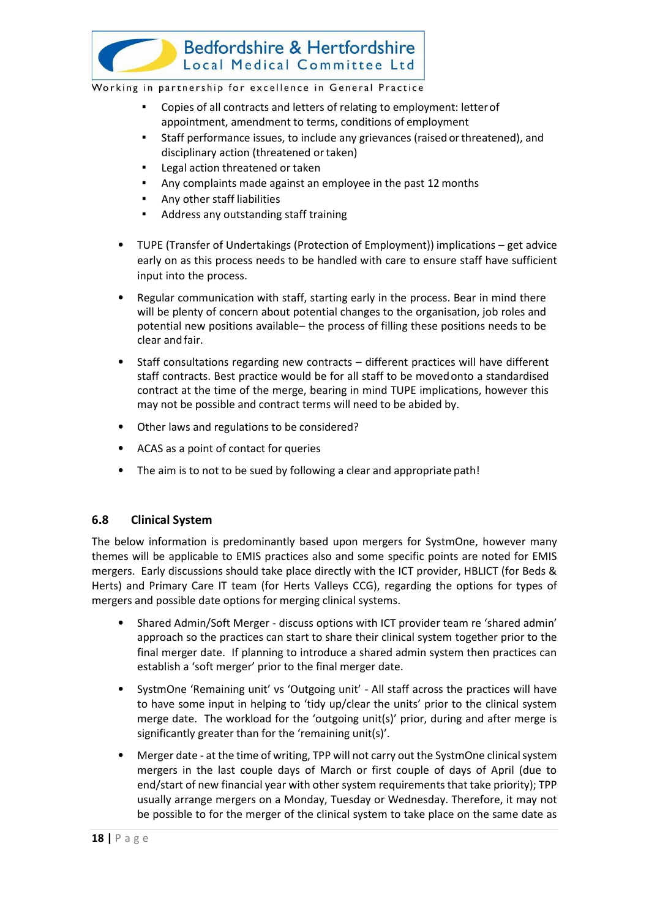

- Copies of all contracts and letters of relating to employment: letter of appointment, amendment to terms, conditions of employment
- Staff performance issues, to include any grievances (raised or threatened), and disciplinary action (threatened or taken)
- Legal action threatened or taken
- Any complaints made against an employee in the past 12 months
- Any other staff liabilities
- Address any outstanding staff training
- TUPE (Transfer of Undertakings (Protection of Employment)) implications get advice early on as this process needs to be handled with care to ensure staff have sufficient input into the process.
- Regular communication with staff, starting early in the process. Bear in mind there will be plenty of concern about potential changes to the organisation, job roles and potential new positions available– the process of filling these positions needs to be clear andfair.
- Staff consultations regarding new contracts different practices will have different staff contracts. Best practice would be for all staff to be movedonto a standardised contract at the time of the merge, bearing in mind TUPE implications, however this may not be possible and contract terms will need to be abided by.
- Other laws and regulations to be considered?
- ACAS as a point of contact for queries
- The aim is to not to be sued by following a clear and appropriate path!

#### <span id="page-18-0"></span>**6.8 Clinical System**

The below information is predominantly based upon mergers for SystmOne, however many themes will be applicable to EMIS practices also and some specific points are noted for EMIS mergers. Early discussions should take place directly with the ICT provider, HBLICT (for Beds & Herts) and Primary Care IT team (for Herts Valleys CCG), regarding the options for types of mergers and possible date options for merging clinical systems.

- Shared Admin/Soft Merger discuss options with ICT provider team re 'shared admin' approach so the practices can start to share their clinical system together prior to the final merger date. If planning to introduce a shared admin system then practices can establish a 'soft merger' prior to the final merger date.
- SystmOne 'Remaining unit' vs 'Outgoing unit' All staff across the practices will have to have some input in helping to 'tidy up/clear the units' prior to the clinical system merge date. The workload for the 'outgoing unit(s)' prior, during and after merge is significantly greater than for the 'remaining unit(s)'.
- Merger date at the time of writing, TPP will not carry out the SystmOne clinical system mergers in the last couple days of March or first couple of days of April (due to end/start of new financial year with other system requirements that take priority); TPP usually arrange mergers on a Monday, Tuesday or Wednesday. Therefore, it may not be possible to for the merger of the clinical system to take place on the same date as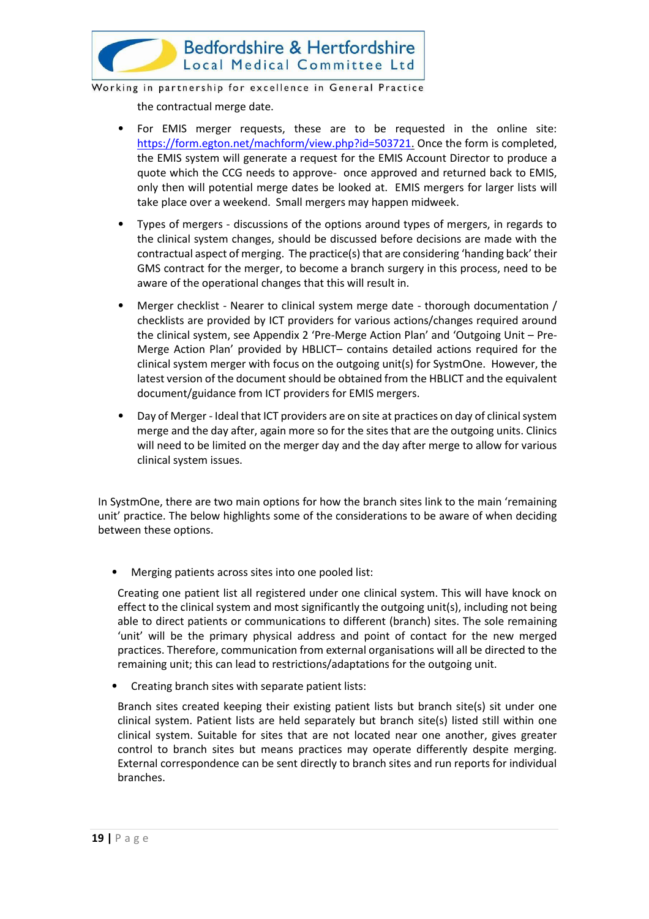

the contractual merge date.

- For EMIS merger requests, these are to be requested in the online site: [https://form.egton.net/machform/view.php?id=503721.](https://form.egton.net/machform/view.php?id=503721) Once the form is completed, the EMIS system will generate a request for the EMIS Account Director to produce a quote which the CCG needs to approve- once approved and returned back to EMIS, only then will potential merge dates be looked at. EMIS mergers for larger lists will take place over a weekend. Small mergers may happen midweek.
- Types of mergers discussions of the options around types of mergers, in regards to the clinical system changes, should be discussed before decisions are made with the contractual aspect of merging. The practice(s) that are considering 'handing back' their GMS contract for the merger, to become a branch surgery in this process, need to be aware of the operational changes that this will result in.
- Merger checklist Nearer to clinical system merge date thorough documentation / checklists are provided by ICT providers for various actions/changes required around the clinical system, see Appendix 2 'Pre-Merge Action Plan' and 'Outgoing Unit – Pre-Merge Action Plan' provided by HBLICT– contains detailed actions required for the clinical system merger with focus on the outgoing unit(s) for SystmOne. However, the latest version of the document should be obtained from the HBLICT and the equivalent document/guidance from ICT providers for EMIS mergers.
- Day of Merger Ideal that ICT providers are on site at practices on day of clinical system merge and the day after, again more so for the sites that are the outgoing units. Clinics will need to be limited on the merger day and the day after merge to allow for various clinical system issues.

In SystmOne, there are two main options for how the branch sites link to the main 'remaining unit' practice. The below highlights some of the considerations to be aware of when deciding between these options.

Merging patients across sites into one pooled list:

Creating one patient list all registered under one clinical system. This will have knock on effect to the clinical system and most significantly the outgoing unit(s), including not being able to direct patients or communications to different (branch) sites. The sole remaining 'unit' will be the primary physical address and point of contact for the new merged practices. Therefore, communication from external organisations will all be directed to the remaining unit; this can lead to restrictions/adaptations for the outgoing unit.

• Creating branch sites with separate patient lists:

Branch sites created keeping their existing patient lists but branch site(s) sit under one clinical system. Patient lists are held separately but branch site(s) listed still within one clinical system. Suitable for sites that are not located near one another, gives greater control to branch sites but means practices may operate differently despite merging. External correspondence can be sent directly to branch sites and run reports for individual branches.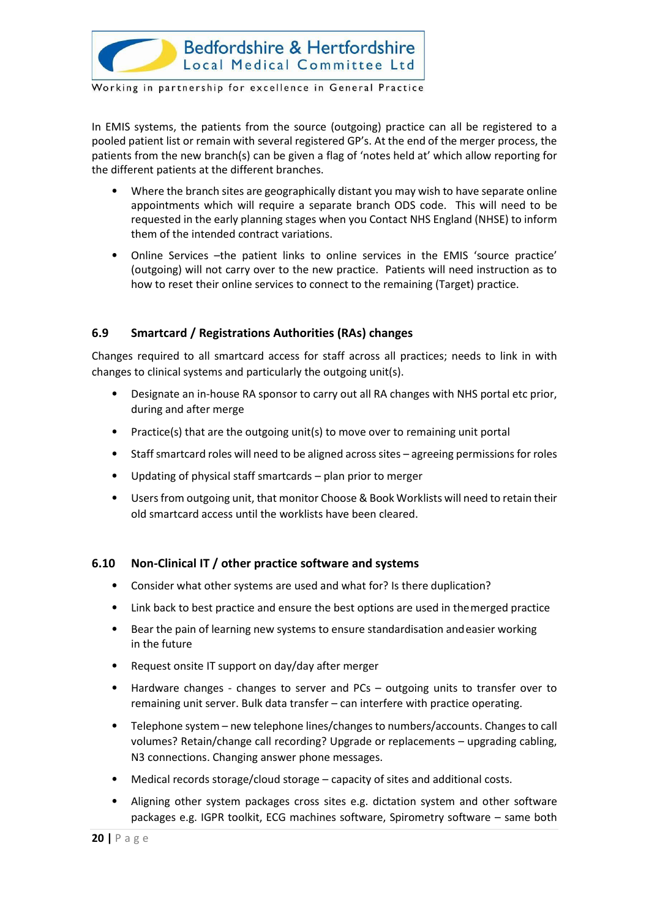

In EMIS systems, the patients from the source (outgoing) practice can all be registered to a pooled patient list or remain with several registered GP's. At the end of the merger process, the patients from the new branch(s) can be given a flag of 'notes held at' which allow reporting for the different patients at the different branches.

- Where the branch sites are geographically distant you may wish to have separate online appointments which will require a separate branch ODS code. This will need to be requested in the early planning stages when you Contact NHS England (NHSE) to inform them of the intended contract variations.
- Online Services –the patient links to online services in the EMIS 'source practice' (outgoing) will not carry over to the new practice. Patients will need instruction as to how to reset their online services to connect to the remaining (Target) practice.

#### <span id="page-20-0"></span>**6.9 Smartcard / Registrations Authorities (RAs) changes**

Changes required to all smartcard access for staff across all practices; needs to link in with changes to clinical systems and particularly the outgoing unit(s).

- Designate an in-house RA sponsor to carry out all RA changes with NHS portal etc prior, during and after merge
- Practice(s) that are the outgoing unit(s) to move over to remaining unit portal
- Staff smartcard roles will need to be aligned across sites agreeing permissions for roles
- Updating of physical staff smartcards plan prior to merger
- Users from outgoing unit, that monitor Choose & Book Worklists will need to retain their old smartcard access until the worklists have been cleared.

#### <span id="page-20-1"></span>**6.10 Non-Clinical IT / other practice software and systems**

- Consider what other systems are used and what for? Is there duplication?
- Link back to best practice and ensure the best options are used in themerged practice
- Bear the pain of learning new systems to ensure standardisation andeasier working in the future
- Request onsite IT support on day/day after merger
- Hardware changes changes to server and PCs outgoing units to transfer over to remaining unit server. Bulk data transfer – can interfere with practice operating.
- Telephone system new telephone lines/changes to numbers/accounts. Changes to call volumes? Retain/change call recording? Upgrade or replacements – upgrading cabling, N3 connections. Changing answer phone messages.
- Medical records storage/cloud storage capacity of sites and additional costs.
- Aligning other system packages cross sites e.g. dictation system and other software packages e.g. IGPR toolkit, ECG machines software, Spirometry software – same both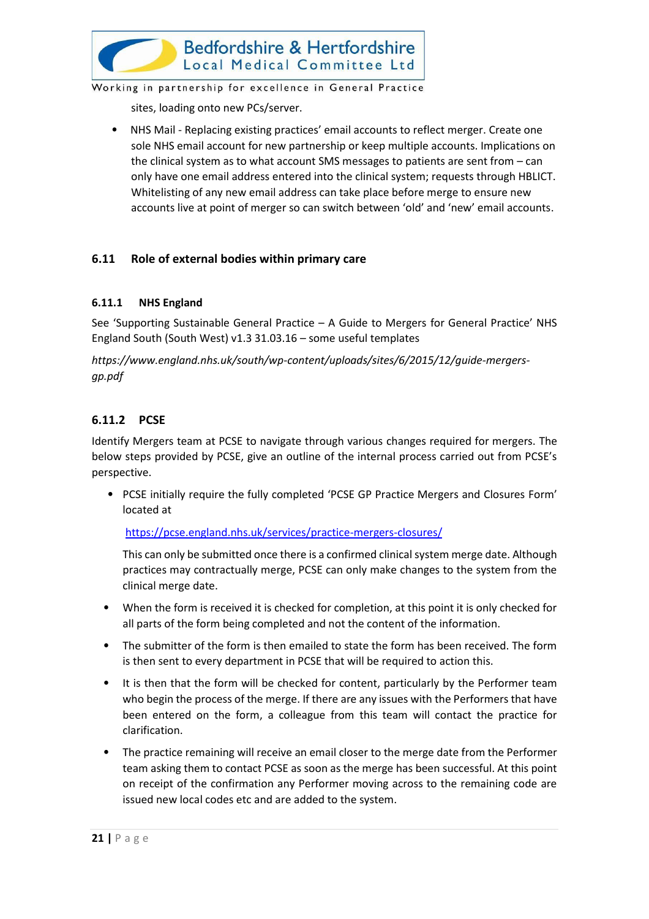

sites, loading onto new PCs/server.

• NHS Mail - Replacing existing practices' email accounts to reflect merger. Create one sole NHS email account for new partnership or keep multiple accounts. Implications on the clinical system as to what account SMS messages to patients are sent from – can only have one email address entered into the clinical system; requests through HBLICT. Whitelisting of any new email address can take place before merge to ensure new accounts live at point of merger so can switch between 'old' and 'new' email accounts.

#### <span id="page-21-0"></span>**6.11 Role of external bodies within primary care**

#### **6.11.1 NHS England**

See 'Supporting Sustainable General Practice – A Guide to Mergers for General Practice' NHS England South (South West) v1.3 31.03.16 – some useful templates

*https://www.england.nhs.uk/south/wp-content/uploads/sites/6/2015/12/guide-mergersgp.pdf*

#### **6.11.2 PCSE**

Identify Mergers team at PCSE to navigate through various changes required for mergers. The below steps provided by PCSE, give an outline of the internal process carried out from PCSE's perspective.

• PCSE initially require the fully completed 'PCSE GP Practice Mergers and Closures Form' located at

<https://pcse.england.nhs.uk/services/practice-mergers-closures/>

This can only be submitted once there is a confirmed clinical system merge date. Although practices may contractually merge, PCSE can only make changes to the system from the clinical merge date.

- When the form is received it is checked for completion, at this point it is only checked for all parts of the form being completed and not the content of the information.
- The submitter of the form is then emailed to state the form has been received. The form is then sent to every department in PCSE that will be required to action this.
- It is then that the form will be checked for content, particularly by the Performer team who begin the process of the merge. If there are any issues with the Performers that have been entered on the form, a colleague from this team will contact the practice for clarification.
- The practice remaining will receive an email closer to the merge date from the Performer team asking them to contact PCSE as soon as the merge has been successful. At this point on receipt of the confirmation any Performer moving across to the remaining code are issued new local codes etc and are added to the system.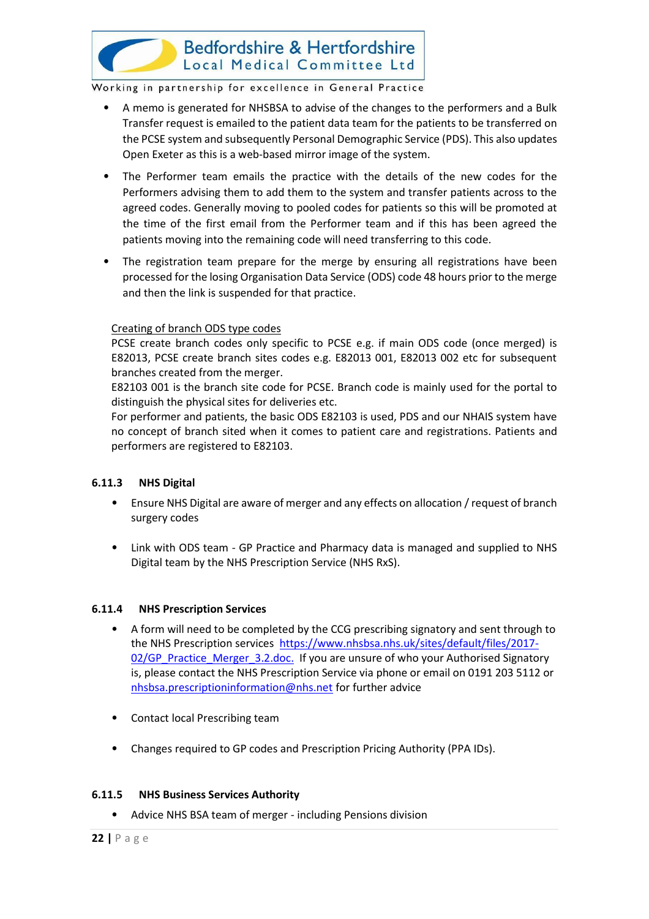

- A memo is generated for NHSBSA to advise of the changes to the performers and a Bulk Transfer request is emailed to the patient data team for the patients to be transferred on the PCSE system and subsequently Personal Demographic Service (PDS). This also updates Open Exeter as this is a web-based mirror image of the system.
- The Performer team emails the practice with the details of the new codes for the Performers advising them to add them to the system and transfer patients across to the agreed codes. Generally moving to pooled codes for patients so this will be promoted at the time of the first email from the Performer team and if this has been agreed the patients moving into the remaining code will need transferring to this code.
- The registration team prepare for the merge by ensuring all registrations have been processed for the losing Organisation Data Service (ODS) code 48 hours prior to the merge and then the link is suspended for that practice.

#### Creating of branch ODS type codes

PCSE create branch codes only specific to PCSE e.g. if main ODS code (once merged) is E82013, PCSE create branch sites codes e.g. E82013 001, E82013 002 etc for subsequent branches created from the merger.

E82103 001 is the branch site code for PCSE. Branch code is mainly used for the portal to distinguish the physical sites for deliveries etc.

For performer and patients, the basic ODS E82103 is used, PDS and our NHAIS system have no concept of branch sited when it comes to patient care and registrations. Patients and performers are registered to E82103.

#### **6.11.3 NHS Digital**

- Ensure NHS Digital are aware of merger and any effects on allocation / request of branch surgery codes
- Link with ODS team GP Practice and Pharmacy data is managed and supplied to NHS Digital team by the NHS Prescription Service (NHS RxS).

#### **6.11.4 NHS Prescription Services**

- A form will need to be completed by the CCG prescribing signatory and sent through to the NHS Prescription services [https://www.nhsbsa.nhs.uk/sites/default/files/2017-](https://www.nhsbsa.nhs.uk/sites/default/files/2017-02/GP_Practice_Merger_3.2.doc) [02/GP\\_Practice\\_Merger\\_3.2.doc.](https://www.nhsbsa.nhs.uk/sites/default/files/2017-02/GP_Practice_Merger_3.2.doc) If you are unsure of who your Authorised Signatory is, please contact the NHS Prescription Service via phone or email on 0191 203 5112 or [nhsbsa.prescriptioninformation@nhs.net](mailto:nhsbsa.prescriptioninformation@nhs.net) for further advice
- Contact local Prescribing team
- Changes required to GP codes and Prescription Pricing Authority (PPA IDs).

#### **6.11.5 NHS Business Services Authority**

• Advice NHS BSA team of merger - including Pensions division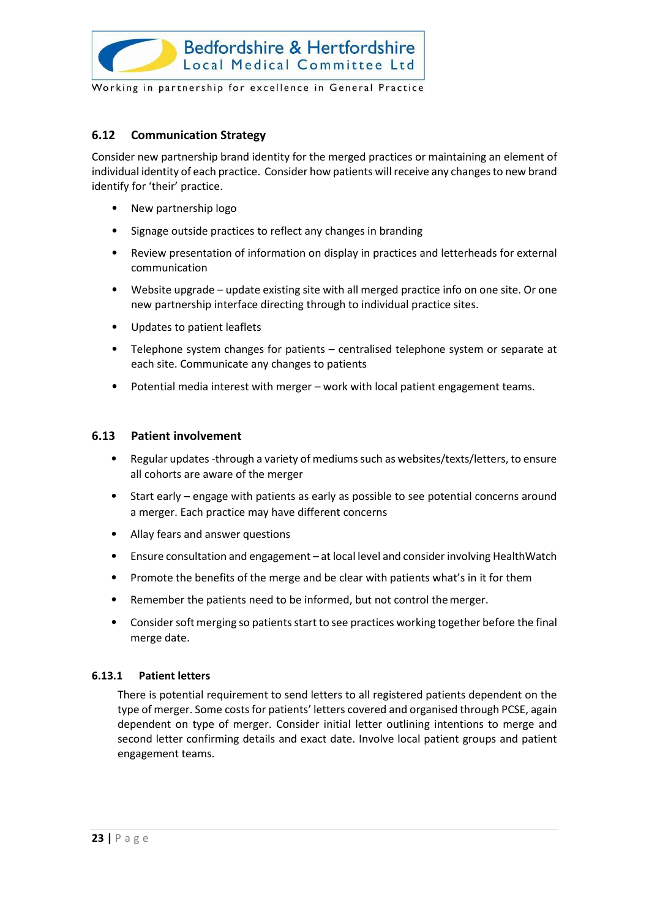

#### <span id="page-23-0"></span>**6.12 Communication Strategy**

Consider new partnership brand identity for the merged practices or maintaining an element of individual identity of each practice. Consider how patients will receive any changes to new brand identify for 'their' practice.

- New partnership logo
- Signage outside practices to reflect any changes in branding
- Review presentation of information on display in practices and letterheads for external communication
- Website upgrade update existing site with all merged practice info on one site. Or one new partnership interface directing through to individual practice sites.
- Updates to patient leaflets
- Telephone system changes for patients centralised telephone system or separate at each site. Communicate any changes to patients
- Potential media interest with merger work with local patient engagement teams.

#### <span id="page-23-1"></span>**6.13 Patient involvement**

- Regular updates -through a variety of mediums such as websites/texts/letters, to ensure all cohorts are aware of the merger
- Start early engage with patients as early as possible to see potential concerns around a merger. Each practice may have different concerns
- Allay fears and answer questions
- Ensure consultation and engagement at local level and consider involving HealthWatch
- Promote the benefits of the merge and be clear with patients what's in it for them
- Remember the patients need to be informed, but not control themerger.
- Consider soft merging so patients start to see practices working together before the final merge date.

#### **6.13.1 Patient letters**

There is potential requirement to send letters to all registered patients dependent on the type of merger. Some costs for patients' letters covered and organised through PCSE, again dependent on type of merger. Consider initial letter outlining intentions to merge and second letter confirming details and exact date. Involve local patient groups and patient engagement teams.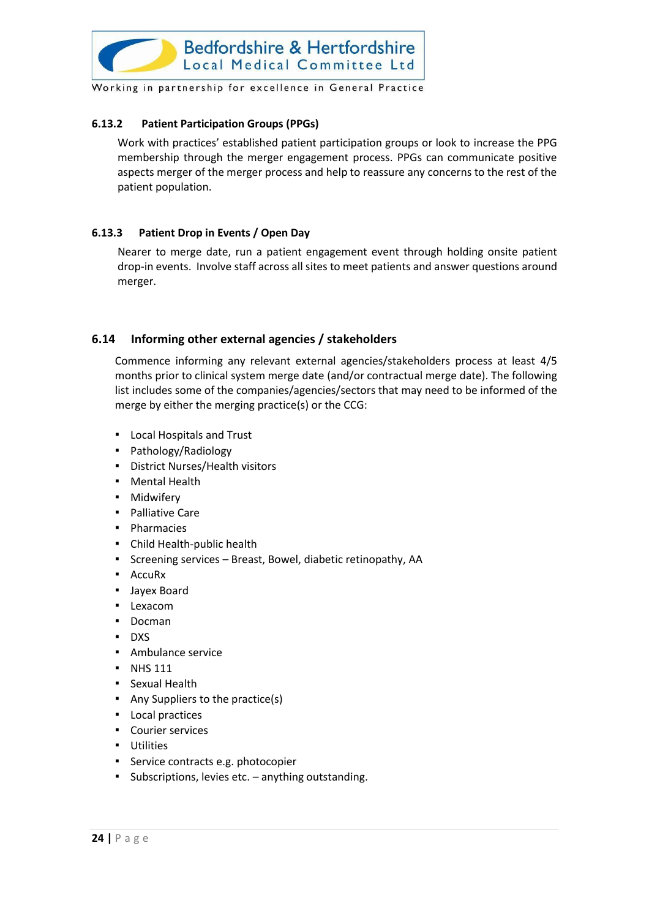

#### **6.13.2 Patient Participation Groups (PPGs)**

Work with practices' established patient participation groups or look to increase the PPG membership through the merger engagement process. PPGs can communicate positive aspects merger of the merger process and help to reassure any concerns to the rest of the patient population.

#### **6.13.3 Patient Drop in Events / Open Day**

Nearer to merge date, run a patient engagement event through holding onsite patient drop-in events. Involve staff across all sites to meet patients and answer questions around merger.

#### <span id="page-24-0"></span>**6.14 Informing other external agencies / stakeholders**

Commence informing any relevant external agencies/stakeholders process at least 4/5 months prior to clinical system merge date (and/or contractual merge date). The following list includes some of the companies/agencies/sectors that may need to be informed of the merge by either the merging practice(s) or the CCG:

- Local Hospitals and Trust
- Pathology/Radiology
- District Nurses/Health visitors
- Mental Health
- Midwifery
- Palliative Care
- Pharmacies
- Child Health-public health
- Screening services Breast, Bowel, diabetic retinopathy, AA
- AccuRx
- Jayex Board
- Lexacom
- Docman
- DXS
- Ambulance service
- NHS 111
- Sexual Health
- Any Suppliers to the practice(s)
- Local practices
- Courier services
- Utilities
- **EXEC** Service contracts e.g. photocopier
- Subscriptions, levies etc. anything outstanding.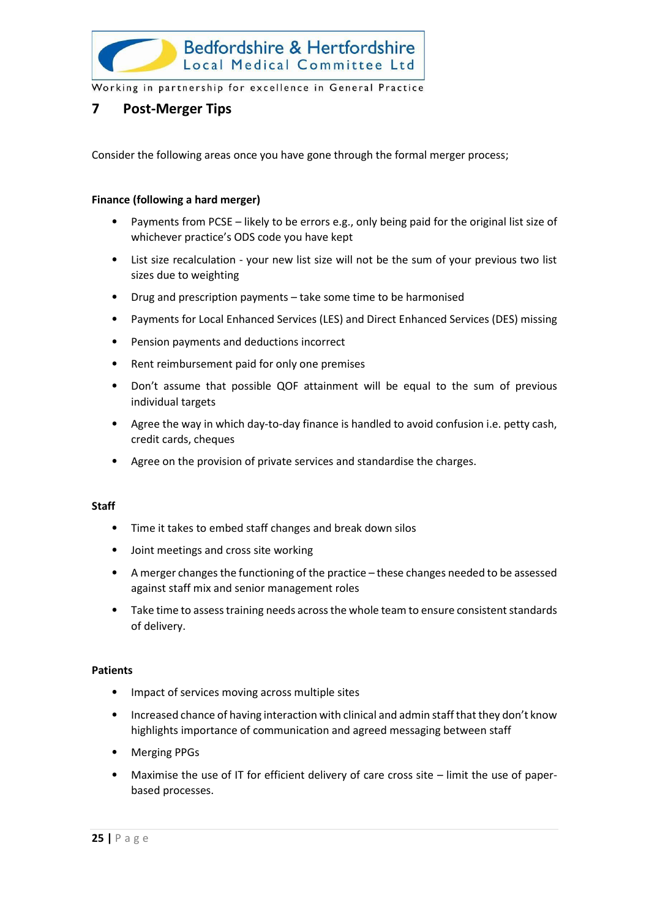

#### <span id="page-25-0"></span>**7 Post-Merger Tips**

Consider the following areas once you have gone through the formal merger process;

#### **Finance (following a hard merger)**

- Payments from PCSE likely to be errors e.g., only being paid for the original list size of whichever practice's ODS code you have kept
- List size recalculation your new list size will not be the sum of your previous two list sizes due to weighting
- Drug and prescription payments take some time to be harmonised
- Payments for Local Enhanced Services (LES) and Direct Enhanced Services (DES) missing
- Pension payments and deductions incorrect
- Rent reimbursement paid for only one premises
- Don't assume that possible QOF attainment will be equal to the sum of previous individual targets
- Agree the way in which day-to-day finance is handled to avoid confusion i.e. petty cash, credit cards, cheques
- Agree on the provision of private services and standardise the charges.

#### **Staff**

- Time it takes to embed staff changes and break down silos
- Joint meetings and cross site working
- A merger changes the functioning of the practice these changes needed to be assessed against staff mix and senior management roles
- Take time to assess training needs across the whole team to ensure consistent standards of delivery.

#### **Patients**

- Impact of services moving across multiple sites
- Increased chance of having interaction with clinical and admin staff that they don't know highlights importance of communication and agreed messaging between staff
- Merging PPGs
- Maximise the use of IT for efficient delivery of care cross site limit the use of paperbased processes.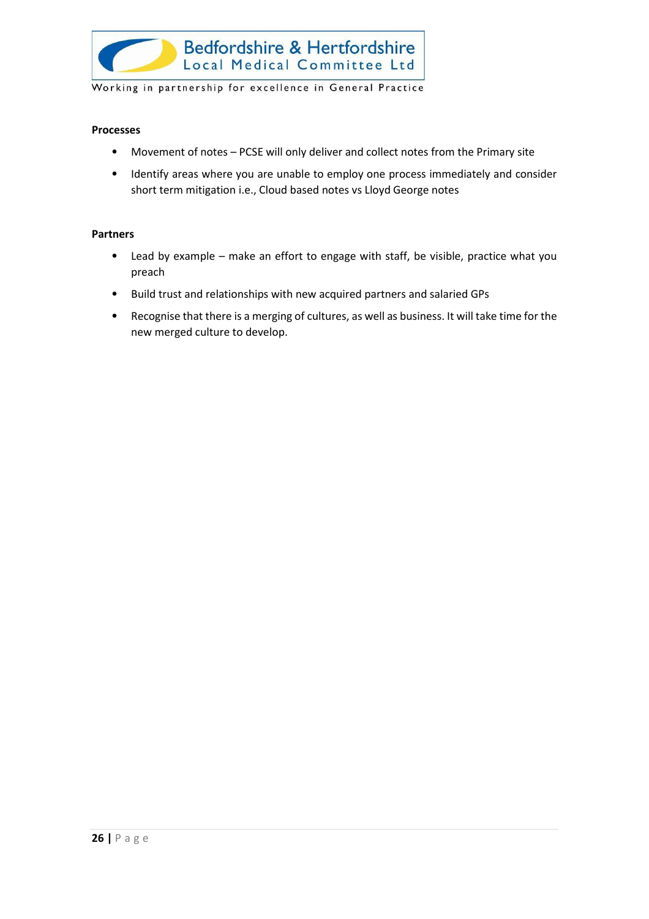

#### **Processes**

- Movement of notes PCSE will only deliver and collect notes from the Primary site
- Identify areas where you are unable to employ one process immediately and consider short term mitigation i.e., Cloud based notes vs Lloyd George notes

#### **Partners**

- Lead by example make an effort to engage with staff, be visible, practice what you preach
- Build trust and relationships with new acquired partners and salaried GPs
- Recognise that there is a merging of cultures, as well as business. It will take time for the new merged culture to develop.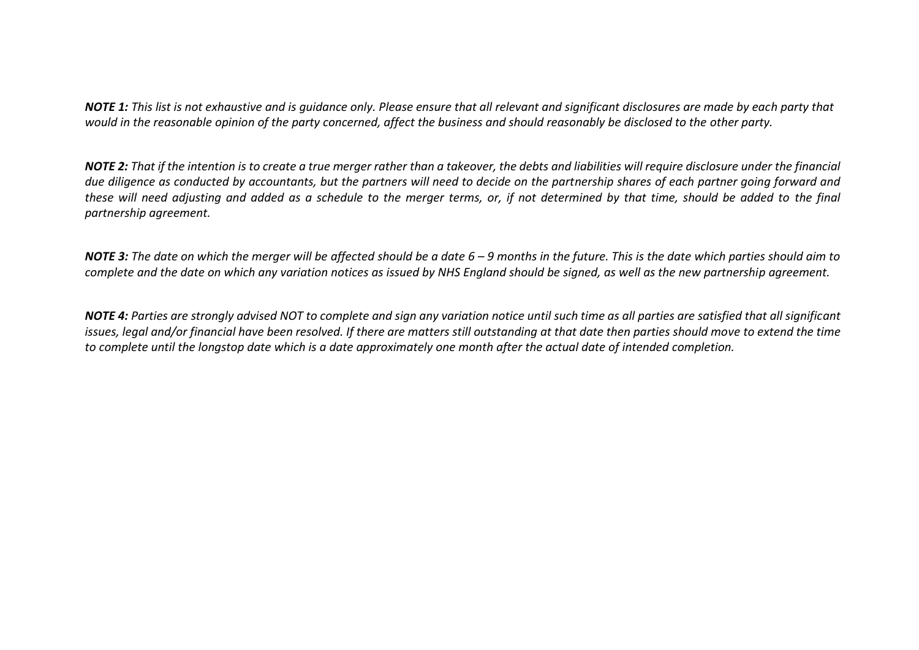*NOTE 1: This list is not exhaustive and is guidance only. Please ensure that all relevant and significant disclosures are made by each party that would in the reasonable opinion of the party concerned, affect the business and should reasonably be disclosed to the other party.*

*NOTE 2: That if the intention is to create a true merger rather than a takeover, the debts and liabilities will require disclosure under the financial due diligence as conducted by accountants, but the partners will need to decide on the partnership shares of each partner going forward and these will need adjusting and added as a schedule to the merger terms, or, if not determined by that time, should be added to the final partnership agreement.*

*NOTE 3: The date on which the merger will be affected should be a date 6 – 9 months in the future. This is the date which parties should aim to complete and the date on which any variation notices as issued by NHS England should be signed, as well as the new partnership agreement.*

*NOTE 4: Parties are strongly advised NOT to complete and sign any variation notice until such time as all parties are satisfied that all significant issues, legal and/or financial have been resolved. If there are matters still outstanding at that date then parties should move to extend the time to complete until the longstop date which is a date approximately one month after the actual date of intended completion.*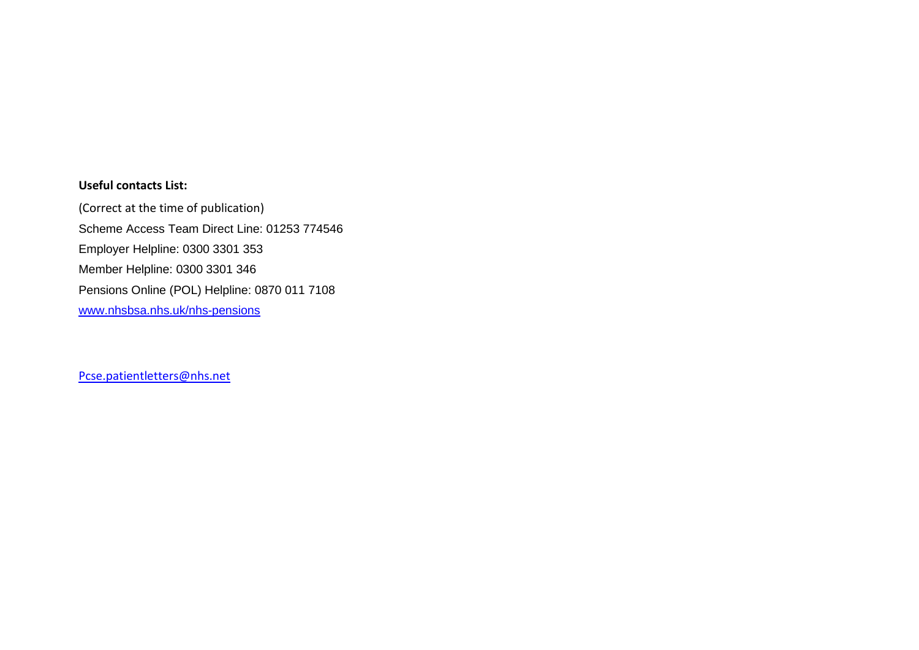#### **Useful contacts List:**

(Correct at the time of publication) Scheme Access Team Direct Line: 01253 774546 Employer Helpline: 0300 3301 353 Member Helpline: 0300 3301 346 Pensions Online (POL) Helpline: 0870 011 7108 [www.nhsbsa.nhs.uk/nhs-pensions](http://www.nhsbsa.nhs.uk/nhs-pensions)

<span id="page-28-0"></span>[Pcse.patientletters@nhs.net](mailto:Pcse.patientletters@nhs.net)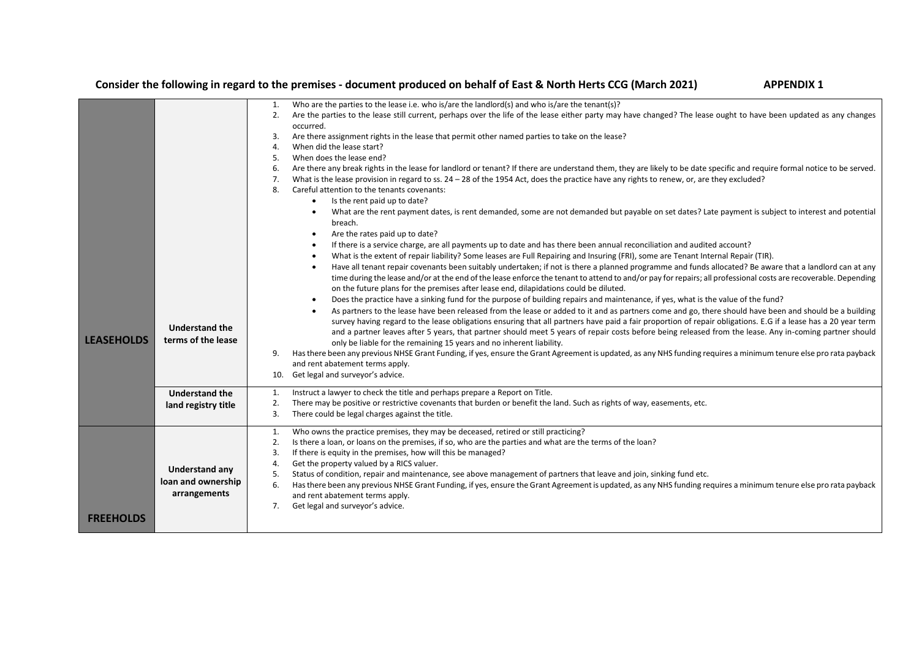#### **Consider the following in regard to the premises - document produced on behalf of East & North Herts CCG (March 2021) APPENDIX 1**

|                   |                       | Who are the parties to the lease i.e. who is/are the landlord(s) and who is/are the tenant(s)?<br>1.                                                                            |
|-------------------|-----------------------|---------------------------------------------------------------------------------------------------------------------------------------------------------------------------------|
|                   |                       | Are the parties to the lease still current, perhaps over the life of the lease either party may have changed? The lease ought to have been updated as any changes<br>2.         |
|                   |                       | occurred.                                                                                                                                                                       |
|                   |                       | Are there assignment rights in the lease that permit other named parties to take on the lease?<br>3.                                                                            |
|                   |                       | When did the lease start?<br>4.                                                                                                                                                 |
|                   |                       | When does the lease end?<br>5.                                                                                                                                                  |
|                   |                       | Are there any break rights in the lease for landlord or tenant? If there are understand them, they are likely to be date specific and require formal notice to be served.<br>6. |
|                   |                       | What is the lease provision in regard to ss. 24 - 28 of the 1954 Act, does the practice have any rights to renew, or, are they excluded?<br>7.                                  |
|                   |                       | Careful attention to the tenants covenants:<br>8.                                                                                                                               |
|                   |                       | Is the rent paid up to date?<br>$\bullet$                                                                                                                                       |
|                   |                       | What are the rent payment dates, is rent demanded, some are not demanded but payable on set dates? Late payment is subject to interest and potential<br>$\bullet$               |
|                   |                       | breach.                                                                                                                                                                         |
|                   |                       | Are the rates paid up to date?<br>$\bullet$                                                                                                                                     |
|                   |                       | If there is a service charge, are all payments up to date and has there been annual reconciliation and audited account?<br>$\bullet$                                            |
|                   |                       | What is the extent of repair liability? Some leases are Full Repairing and Insuring (FRI), some are Tenant Internal Repair (TIR).<br>$\bullet$                                  |
|                   |                       | Have all tenant repair covenants been suitably undertaken; if not is there a planned programme and funds allocated? Be aware that a landlord can at any                         |
|                   |                       | time during the lease and/or at the end of the lease enforce the tenant to attend to and/or pay for repairs; all professional costs are recoverable. Depending                  |
|                   |                       | on the future plans for the premises after lease end, dilapidations could be diluted.                                                                                           |
|                   |                       | Does the practice have a sinking fund for the purpose of building repairs and maintenance, if yes, what is the value of the fund?<br>$\bullet$                                  |
|                   |                       | As partners to the lease have been released from the lease or added to it and as partners come and go, there should have been and should be a building                          |
|                   |                       | survey having regard to the lease obligations ensuring that all partners have paid a fair proportion of repair obligations. E.G if a lease has a 20 year term                   |
|                   | <b>Understand the</b> | and a partner leaves after 5 years, that partner should meet 5 years of repair costs before being released from the lease. Any in-coming partner should                         |
| <b>LEASEHOLDS</b> | terms of the lease    | only be liable for the remaining 15 years and no inherent liability.                                                                                                            |
|                   |                       | Has there been any previous NHSE Grant Funding, if yes, ensure the Grant Agreement is updated, as any NHS funding requires a minimum tenure else pro rata payback<br>9.         |
|                   |                       | and rent abatement terms apply.                                                                                                                                                 |
|                   |                       | 10. Get legal and surveyor's advice.                                                                                                                                            |
|                   | <b>Understand the</b> | Instruct a lawyer to check the title and perhaps prepare a Report on Title.<br>1.                                                                                               |
|                   |                       | There may be positive or restrictive covenants that burden or benefit the land. Such as rights of way, easements, etc.<br>2.                                                    |
|                   | land registry title   | There could be legal charges against the title.<br>3.                                                                                                                           |
|                   |                       |                                                                                                                                                                                 |
|                   |                       | Who owns the practice premises, they may be deceased, retired or still practicing?<br>1.                                                                                        |
|                   |                       | 2.<br>Is there a loan, or loans on the premises, if so, who are the parties and what are the terms of the loan?                                                                 |
|                   |                       | If there is equity in the premises, how will this be managed?<br>3.                                                                                                             |
|                   | <b>Understand any</b> | Get the property valued by a RICS valuer.<br>4.                                                                                                                                 |
|                   | loan and ownership    | Status of condition, repair and maintenance, see above management of partners that leave and join, sinking fund etc.<br>5.                                                      |
|                   |                       | Has there been any previous NHSE Grant Funding, if yes, ensure the Grant Agreement is updated, as any NHS funding requires a minimum tenure else pro rata payback<br>6.         |
|                   | arrangements          | and rent abatement terms apply.                                                                                                                                                 |
|                   |                       | Get legal and surveyor's advice.<br>7.                                                                                                                                          |
| <b>FREEHOLDS</b>  |                       |                                                                                                                                                                                 |
|                   |                       |                                                                                                                                                                                 |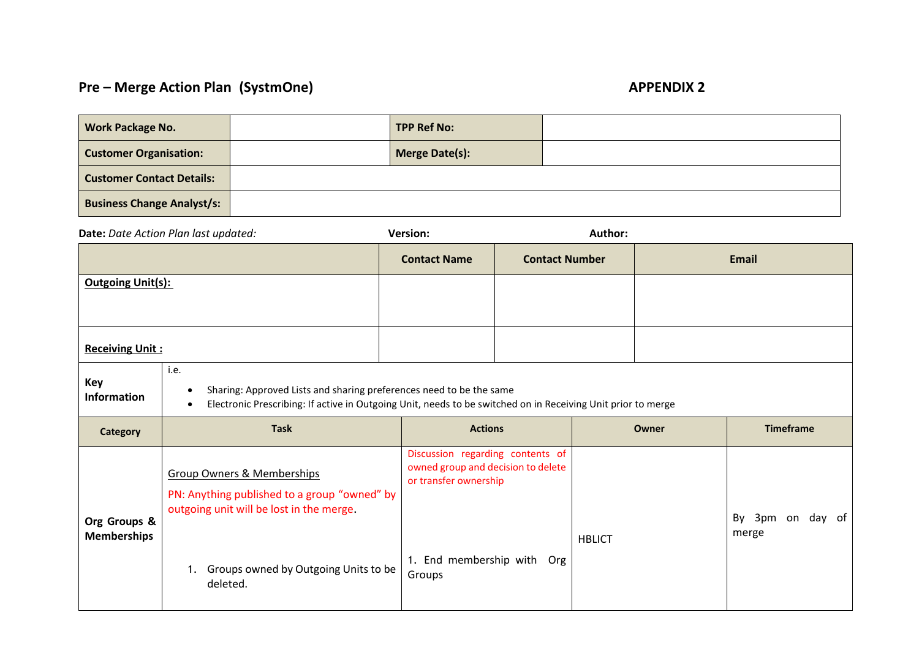### **Pre – Merge Action Plan (SystmOne) APPENDIX 2**

| <b>Work Package No.</b>           | <b>TPP Ref No:</b> |  |
|-----------------------------------|--------------------|--|
| <b>Customer Organisation:</b>     | Merge Date(s):     |  |
| <b>Customer Contact Details:</b>  |                    |  |
| <b>Business Change Analyst/s:</b> |                    |  |

|                                    | Date: Date Action Plan last updated:                                                                                                                                                                     | <b>Version:</b>                                                                                                                         | Author:               |               |       |                           |
|------------------------------------|----------------------------------------------------------------------------------------------------------------------------------------------------------------------------------------------------------|-----------------------------------------------------------------------------------------------------------------------------------------|-----------------------|---------------|-------|---------------------------|
|                                    |                                                                                                                                                                                                          | <b>Contact Name</b>                                                                                                                     | <b>Contact Number</b> |               |       | <b>Email</b>              |
| <b>Outgoing Unit(s):</b>           |                                                                                                                                                                                                          |                                                                                                                                         |                       |               |       |                           |
| <b>Receiving Unit:</b>             |                                                                                                                                                                                                          |                                                                                                                                         |                       |               |       |                           |
| <b>Key</b><br>Information          | i.e.<br>Sharing: Approved Lists and sharing preferences need to be the same<br>Electronic Prescribing: If active in Outgoing Unit, needs to be switched on in Receiving Unit prior to merge<br>$\bullet$ |                                                                                                                                         |                       |               |       |                           |
| Category                           | <b>Task</b>                                                                                                                                                                                              | <b>Actions</b>                                                                                                                          |                       |               | Owner | <b>Timeframe</b>          |
| Org Groups &<br><b>Memberships</b> | <b>Group Owners &amp; Memberships</b><br>PN: Anything published to a group "owned" by<br>outgoing unit will be lost in the merge.<br>Groups owned by Outgoing Units to be<br>1.<br>deleted.              | Discussion regarding contents of<br>owned group and decision to delete<br>or transfer ownership<br>1. End membership with Org<br>Groups |                       | <b>HBLICT</b> |       | By 3pm on day of<br>merge |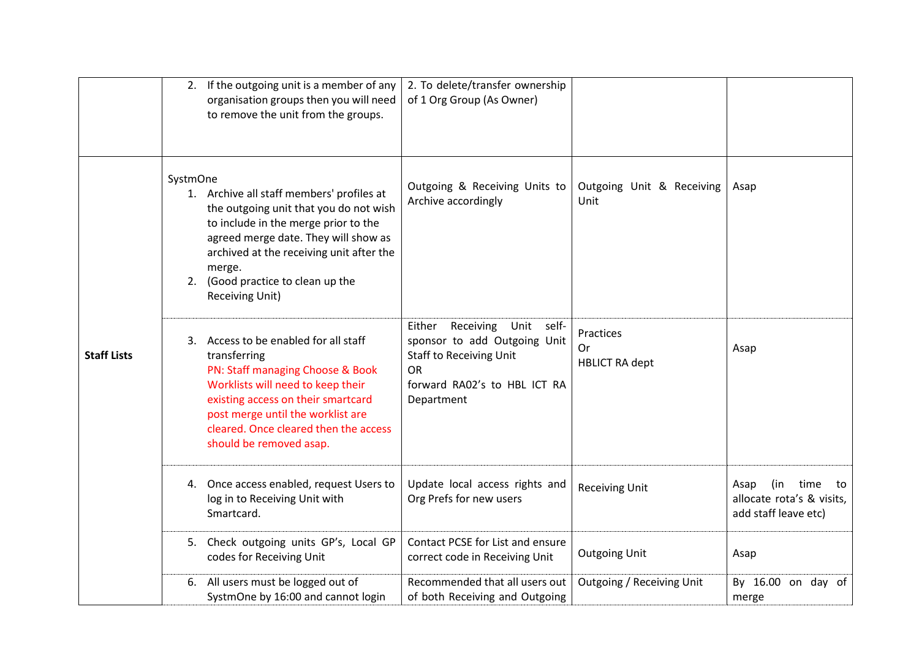|                    |          | 2. If the outgoing unit is a member of any<br>organisation groups then you will need<br>to remove the unit from the groups.                                                                                                                                                       | 2. To delete/transfer ownership<br>of 1 Org Group (As Owner)                                                                                                   |                                          |                                                                                |
|--------------------|----------|-----------------------------------------------------------------------------------------------------------------------------------------------------------------------------------------------------------------------------------------------------------------------------------|----------------------------------------------------------------------------------------------------------------------------------------------------------------|------------------------------------------|--------------------------------------------------------------------------------|
|                    | SystmOne | 1. Archive all staff members' profiles at<br>the outgoing unit that you do not wish<br>to include in the merge prior to the<br>agreed merge date. They will show as<br>archived at the receiving unit after the<br>merge.<br>2. (Good practice to clean up the<br>Receiving Unit) | Outgoing & Receiving Units to<br>Archive accordingly                                                                                                           | Outgoing Unit & Receiving<br>Unit        | Asap                                                                           |
| <b>Staff Lists</b> |          | 3. Access to be enabled for all staff<br>transferring<br>PN: Staff managing Choose & Book<br>Worklists will need to keep their<br>existing access on their smartcard<br>post merge until the worklist are<br>cleared. Once cleared then the access<br>should be removed asap.     | Receiving<br>Unit self-<br>Either<br>sponsor to add Outgoing Unit<br><b>Staff to Receiving Unit</b><br><b>OR</b><br>forward RA02's to HBL ICT RA<br>Department | Practices<br>Or<br><b>HBLICT RA dept</b> | Asap                                                                           |
|                    |          | 4. Once access enabled, request Users to<br>log in to Receiving Unit with<br>Smartcard.                                                                                                                                                                                           | Update local access rights and<br>Org Prefs for new users                                                                                                      | <b>Receiving Unit</b>                    | (in time<br>Asap<br>to to<br>allocate rota's & visits,<br>add staff leave etc) |
|                    |          | 5. Check outgoing units GP's, Local GP<br>codes for Receiving Unit                                                                                                                                                                                                                | Contact PCSE for List and ensure<br>correct code in Receiving Unit                                                                                             | <b>Outgoing Unit</b>                     | Asap                                                                           |
|                    |          | 6. All users must be logged out of<br>SystmOne by 16:00 and cannot login                                                                                                                                                                                                          | Recommended that all users out<br>of both Receiving and Outgoing                                                                                               | Outgoing / Receiving Unit                | By 16.00 on day of<br>merge                                                    |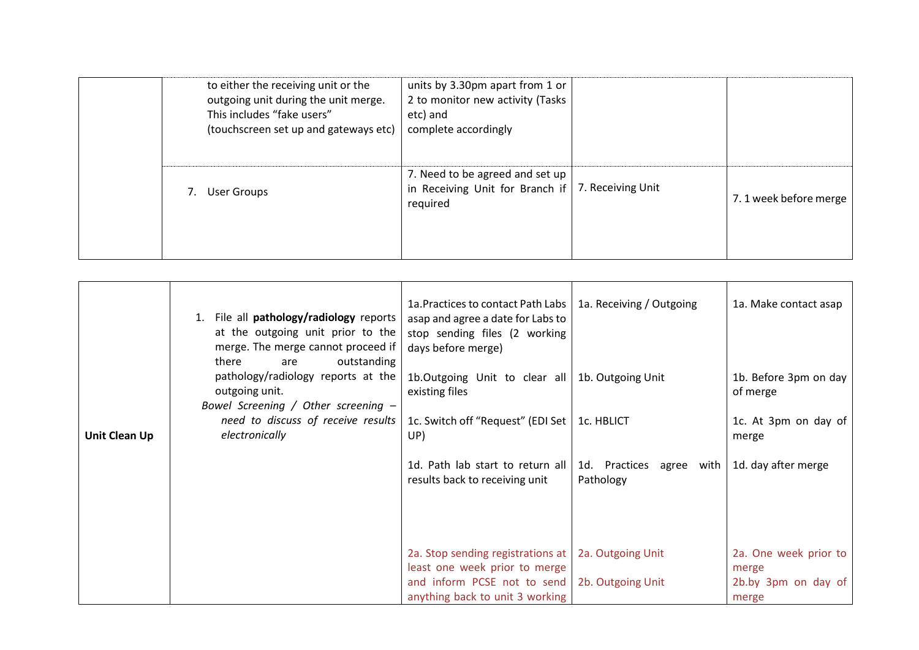| to either the receiving unit or the<br>outgoing unit during the unit merge.<br>This includes "fake users"<br>(touchscreen set up and gateways etc) | units by 3.30pm apart from 1 or<br>2 to monitor new activity (Tasks<br>etc) and<br>complete accordingly |                   |                       |
|----------------------------------------------------------------------------------------------------------------------------------------------------|---------------------------------------------------------------------------------------------------------|-------------------|-----------------------|
| <b>User Groups</b>                                                                                                                                 | 7. Need to be agreed and set up<br>in Receiving Unit for Branch if<br>required                          | 7. Receiving Unit | 7.1 week before merge |

|               | File all pathology/radiology reports<br>at the outgoing unit prior to the<br>merge. The merge cannot proceed if<br>there<br>outstanding<br>are | 1a. Practices to contact Path Labs  <br>asap and agree a date for Labs to<br>stop sending files (2 working<br>days before merge) | 1a. Receiving / Outgoing              | 1a. Make contact asap             |
|---------------|------------------------------------------------------------------------------------------------------------------------------------------------|----------------------------------------------------------------------------------------------------------------------------------|---------------------------------------|-----------------------------------|
|               | pathology/radiology reports at the<br>outgoing unit.<br>Bowel Screening / Other screening $-$                                                  | 1b.Outgoing Unit to clear all<br>existing files                                                                                  | 1b. Outgoing Unit                     | 1b. Before 3pm on day<br>of merge |
| Unit Clean Up | need to discuss of receive results<br>electronically                                                                                           | 1c. Switch off "Request" (EDI Set  <br>UP)                                                                                       | 1c. HBLICT                            | 1c. At 3pm on day of<br>merge     |
|               |                                                                                                                                                | 1d. Path lab start to return all<br>results back to receiving unit                                                               | 1d. Practices agree with<br>Pathology | 1d. day after merge               |
|               |                                                                                                                                                |                                                                                                                                  |                                       |                                   |
|               |                                                                                                                                                | 2a. Stop sending registrations at<br>least one week prior to merge                                                               | 2a. Outgoing Unit                     | 2a. One week prior to<br>merge    |
|               |                                                                                                                                                | and inform PCSE not to send<br>anything back to unit 3 working                                                                   | 2b. Outgoing Unit                     | 2b.by 3pm on day of<br>merge      |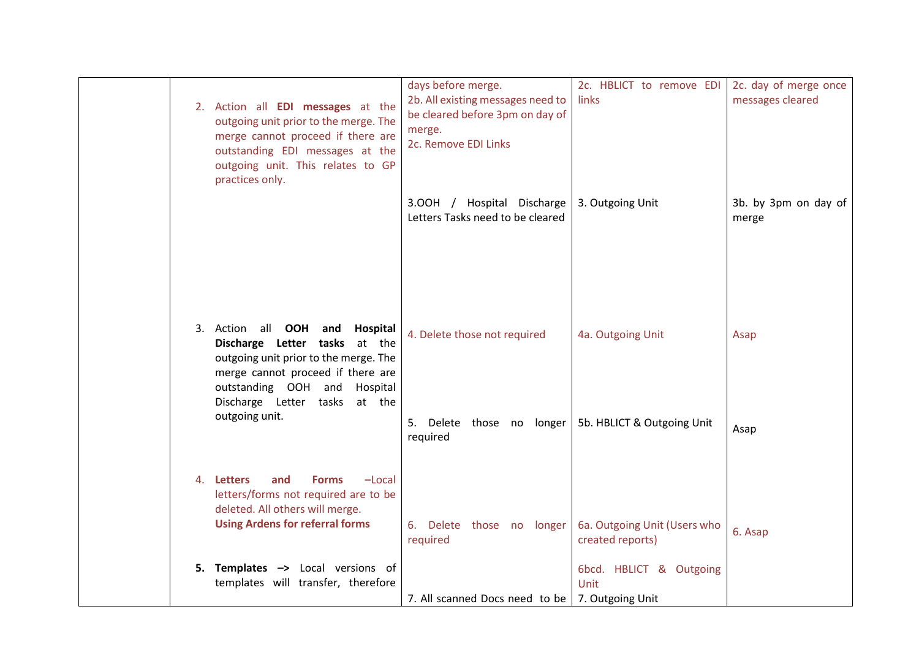|  | 2. Action all <b>EDI messages</b> at the<br>outgoing unit prior to the merge. The<br>merge cannot proceed if there are<br>outstanding EDI messages at the<br>outgoing unit. This relates to GP<br>practices only.       | days before merge.<br>2b. All existing messages need to<br>be cleared before 3pm on day of<br>merge.<br>2c. Remove EDI Links | 2c. HBLICT to remove EDI<br>links                | 2c. day of merge once<br>messages cleared |
|--|-------------------------------------------------------------------------------------------------------------------------------------------------------------------------------------------------------------------------|------------------------------------------------------------------------------------------------------------------------------|--------------------------------------------------|-------------------------------------------|
|  |                                                                                                                                                                                                                         | 3.00H / Hospital Discharge<br>Letters Tasks need to be cleared                                                               | 3. Outgoing Unit                                 | 3b. by 3pm on day of<br>merge             |
|  | 3. Action all OOH<br>Hospital<br>and<br>Discharge Letter tasks<br>at the<br>outgoing unit prior to the merge. The<br>merge cannot proceed if there are<br>outstanding OOH and Hospital<br>Discharge Letter tasks at the | 4. Delete those not required                                                                                                 | 4a. Outgoing Unit                                | Asap                                      |
|  | outgoing unit.                                                                                                                                                                                                          | 5. Delete those no longer<br>required                                                                                        | 5b. HBLICT & Outgoing Unit                       | Asap                                      |
|  | 4. Letters<br>and<br><b>Forms</b><br>$-Local$<br>letters/forms not required are to be<br>deleted. All others will merge.<br><b>Using Ardens for referral forms</b>                                                      | 6. Delete those no longer<br>required                                                                                        | 6a. Outgoing Unit (Users who<br>created reports) | 6. Asap                                   |
|  | 5. Templates -> Local versions of<br>templates will transfer, therefore                                                                                                                                                 | 7. All scanned Docs need to be   7. Outgoing Unit                                                                            | 6bcd. HBLICT & Outgoing<br>Unit                  |                                           |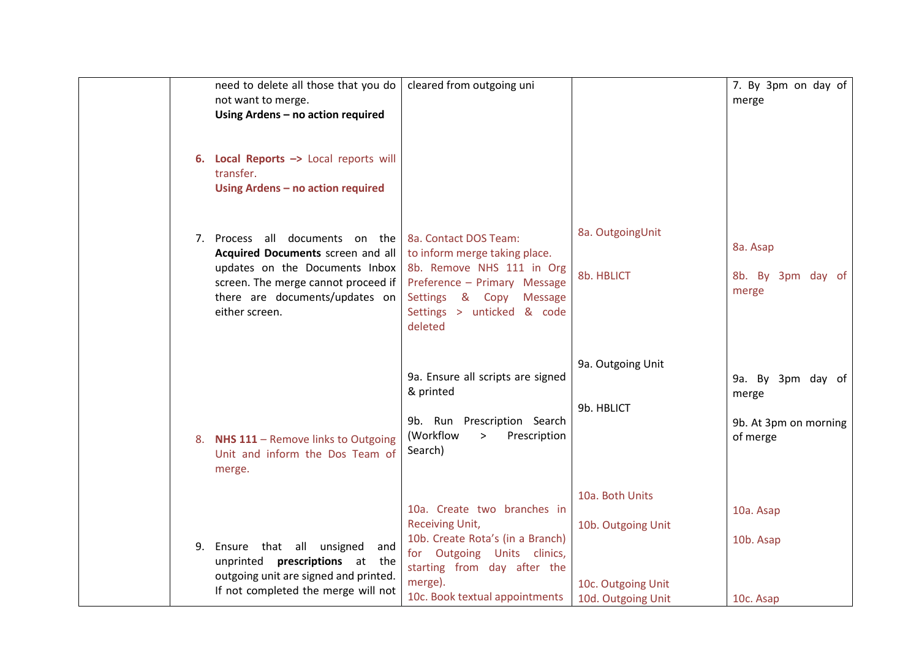|    | need to delete all those that you do<br>not want to merge.<br>Using Ardens - no action required                                                                                                   | cleared from outgoing uni                                                                                                                                                                            |                                                                                   | 7. By 3pm on day of<br>merge                                    |
|----|---------------------------------------------------------------------------------------------------------------------------------------------------------------------------------------------------|------------------------------------------------------------------------------------------------------------------------------------------------------------------------------------------------------|-----------------------------------------------------------------------------------|-----------------------------------------------------------------|
|    | 6. Local Reports -> Local reports will<br>transfer.<br>Using Ardens - no action required                                                                                                          |                                                                                                                                                                                                      |                                                                                   |                                                                 |
|    | 7. Process all documents on the<br>Acquired Documents screen and all<br>updates on the Documents Inbox<br>screen. The merge cannot proceed if<br>there are documents/updates on<br>either screen. | 8a. Contact DOS Team:<br>to inform merge taking place.<br>8b. Remove NHS 111 in Org<br>Preference - Primary Message<br>Settings & Copy<br><b>Message</b><br>Settings > unticked & code<br>deleted    | 8a. OutgoingUnit<br>8b. HBLICT                                                    | 8a. Asap<br>8b. By 3pm day of<br>merge                          |
| 8. | NHS 111 - Remove links to Outgoing<br>Unit and inform the Dos Team of<br>merge.                                                                                                                   | 9a. Ensure all scripts are signed<br>& printed<br>9b. Run Prescription Search<br>(Workflow<br>Prescription<br>><br>Search)                                                                           | 9a. Outgoing Unit<br>9b. HBLICT                                                   | 9a. By 3pm day of<br>merge<br>9b. At 3pm on morning<br>of merge |
|    | 9. Ensure that all unsigned<br>and<br>unprinted <b>prescriptions</b> at the<br>outgoing unit are signed and printed.<br>If not completed the merge will not                                       | 10a. Create two branches in<br><b>Receiving Unit,</b><br>10b. Create Rota's (in a Branch)<br>for Outgoing Units clinics,<br>starting from day after the<br>merge).<br>10c. Book textual appointments | 10a. Both Units<br>10b. Outgoing Unit<br>10c. Outgoing Unit<br>10d. Outgoing Unit | 10a. Asap<br>10b. Asap<br>10c. Asap                             |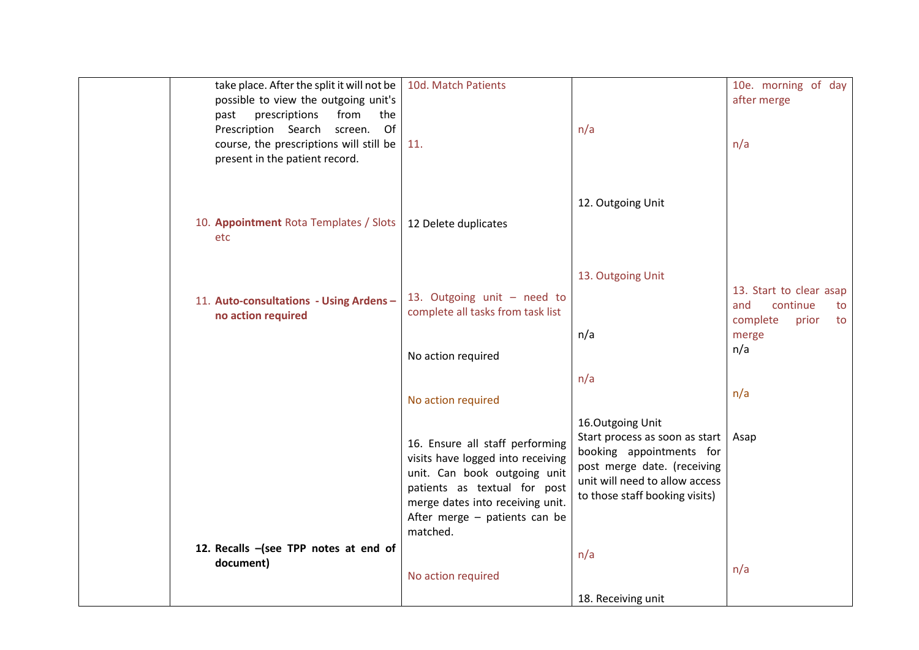| take place. After the split it will not be    | 10d. Match Patients                                              |                                                            | 10e. morning of day                     |
|-----------------------------------------------|------------------------------------------------------------------|------------------------------------------------------------|-----------------------------------------|
| possible to view the outgoing unit's          |                                                                  |                                                            | after merge                             |
| prescriptions<br>from<br>past<br>the          |                                                                  |                                                            |                                         |
| Prescription Search<br>Of<br>screen.          |                                                                  | n/a                                                        |                                         |
| course, the prescriptions will still be       | 11.                                                              |                                                            | n/a                                     |
| present in the patient record.                |                                                                  |                                                            |                                         |
|                                               |                                                                  |                                                            |                                         |
|                                               |                                                                  | 12. Outgoing Unit                                          |                                         |
|                                               |                                                                  |                                                            |                                         |
| 10. Appointment Rota Templates / Slots<br>etc | 12 Delete duplicates                                             |                                                            |                                         |
|                                               |                                                                  |                                                            |                                         |
|                                               |                                                                  |                                                            |                                         |
|                                               |                                                                  | 13. Outgoing Unit                                          |                                         |
| 11. Auto-consultations - Using Ardens -       | 13. Outgoing unit - need to                                      |                                                            | 13. Start to clear asap                 |
| no action required                            | complete all tasks from task list                                |                                                            | and<br>continue<br>to<br>complete<br>to |
|                                               |                                                                  | n/a                                                        | prior<br>merge                          |
|                                               |                                                                  |                                                            | n/a                                     |
|                                               | No action required                                               |                                                            |                                         |
|                                               |                                                                  | n/a                                                        |                                         |
|                                               | No action required                                               |                                                            | n/a                                     |
|                                               |                                                                  |                                                            |                                         |
|                                               |                                                                  | 16.Outgoing Unit                                           |                                         |
|                                               | 16. Ensure all staff performing                                  | Start process as soon as start<br>booking appointments for | Asap                                    |
|                                               | visits have logged into receiving                                | post merge date. (receiving                                |                                         |
|                                               | unit. Can book outgoing unit                                     | unit will need to allow access                             |                                         |
|                                               | patients as textual for post<br>merge dates into receiving unit. | to those staff booking visits)                             |                                         |
|                                               | After merge - patients can be                                    |                                                            |                                         |
|                                               | matched.                                                         |                                                            |                                         |
| 12. Recalls -(see TPP notes at end of         |                                                                  |                                                            |                                         |
| document)                                     |                                                                  | n/a                                                        | n/a                                     |
|                                               | No action required                                               |                                                            |                                         |
|                                               |                                                                  | 18. Receiving unit                                         |                                         |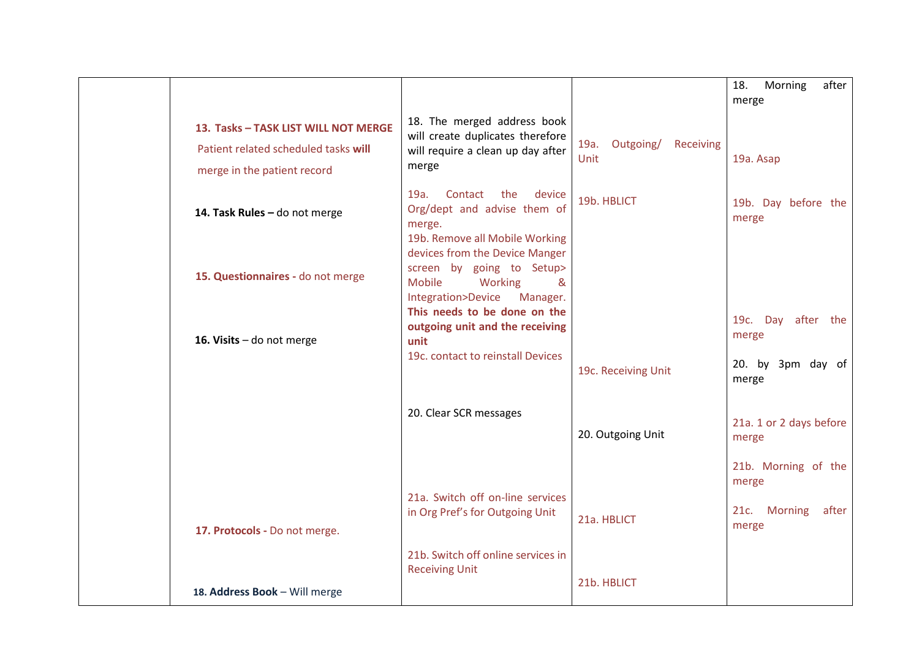|                                                                                                             |                                                                                                                                |                                  | after<br>18.<br>Morning<br>merge                 |
|-------------------------------------------------------------------------------------------------------------|--------------------------------------------------------------------------------------------------------------------------------|----------------------------------|--------------------------------------------------|
| 13. Tasks - TASK LIST WILL NOT MERGE<br>Patient related scheduled tasks will<br>merge in the patient record | 18. The merged address book<br>will create duplicates therefore<br>will require a clean up day after<br>merge                  | 19a. Outgoing/ Receiving<br>Unit | 19a. Asap                                        |
| 14. Task Rules - do not merge                                                                               | 19a.<br>Contact<br>the<br>device<br>Org/dept and advise them of<br>merge.<br>19b. Remove all Mobile Working                    | 19b. HBLICT                      | 19b. Day before the<br>merge                     |
| 15. Questionnaires - do not merge                                                                           | devices from the Device Manger<br>screen by going to Setup><br><b>Mobile</b><br>Working<br>&<br>Integration>Device<br>Manager. |                                  |                                                  |
| 16. Visits - do not merge                                                                                   | This needs to be done on the<br>outgoing unit and the receiving<br>unit<br>19c. contact to reinstall Devices                   |                                  | 19c. Day after the<br>merge<br>20. by 3pm day of |
|                                                                                                             |                                                                                                                                | 19c. Receiving Unit              | merge                                            |
|                                                                                                             | 20. Clear SCR messages                                                                                                         | 20. Outgoing Unit                | 21a. 1 or 2 days before<br>merge                 |
|                                                                                                             |                                                                                                                                |                                  | 21b. Morning of the<br>merge                     |
| 17. Protocols - Do not merge.                                                                               | 21a. Switch off on-line services<br>in Org Pref's for Outgoing Unit                                                            | 21a. HBLICT                      | <b>Morning</b><br>21c.<br>after<br>merge         |
|                                                                                                             | 21b. Switch off online services in<br><b>Receiving Unit</b>                                                                    |                                  |                                                  |
| 18. Address Book - Will merge                                                                               |                                                                                                                                | 21b. HBLICT                      |                                                  |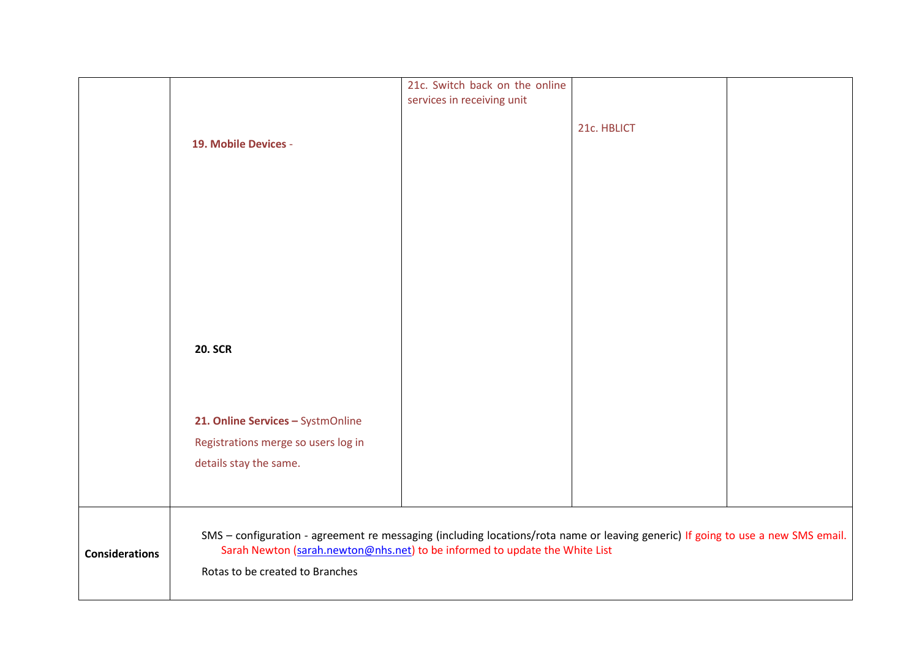|                       |                                                                                                                                                                                                                                                    | 21c. Switch back on the online |             |  |  |
|-----------------------|----------------------------------------------------------------------------------------------------------------------------------------------------------------------------------------------------------------------------------------------------|--------------------------------|-------------|--|--|
|                       |                                                                                                                                                                                                                                                    | services in receiving unit     |             |  |  |
|                       |                                                                                                                                                                                                                                                    |                                | 21c. HBLICT |  |  |
|                       | 19. Mobile Devices -                                                                                                                                                                                                                               |                                |             |  |  |
|                       |                                                                                                                                                                                                                                                    |                                |             |  |  |
|                       |                                                                                                                                                                                                                                                    |                                |             |  |  |
|                       |                                                                                                                                                                                                                                                    |                                |             |  |  |
|                       |                                                                                                                                                                                                                                                    |                                |             |  |  |
|                       |                                                                                                                                                                                                                                                    |                                |             |  |  |
|                       |                                                                                                                                                                                                                                                    |                                |             |  |  |
|                       |                                                                                                                                                                                                                                                    |                                |             |  |  |
|                       |                                                                                                                                                                                                                                                    |                                |             |  |  |
|                       |                                                                                                                                                                                                                                                    |                                |             |  |  |
|                       |                                                                                                                                                                                                                                                    |                                |             |  |  |
|                       | <b>20. SCR</b>                                                                                                                                                                                                                                     |                                |             |  |  |
|                       |                                                                                                                                                                                                                                                    |                                |             |  |  |
|                       |                                                                                                                                                                                                                                                    |                                |             |  |  |
|                       |                                                                                                                                                                                                                                                    |                                |             |  |  |
|                       | 21. Online Services - SystmOnline                                                                                                                                                                                                                  |                                |             |  |  |
|                       | Registrations merge so users log in                                                                                                                                                                                                                |                                |             |  |  |
|                       |                                                                                                                                                                                                                                                    |                                |             |  |  |
|                       | details stay the same.                                                                                                                                                                                                                             |                                |             |  |  |
|                       |                                                                                                                                                                                                                                                    |                                |             |  |  |
|                       |                                                                                                                                                                                                                                                    |                                |             |  |  |
|                       |                                                                                                                                                                                                                                                    |                                |             |  |  |
| <b>Considerations</b> | SMS - configuration - agreement re messaging (including locations/rota name or leaving generic) If going to use a new SMS email.<br>Sarah Newton (sarah.newton@nhs.net) to be informed to update the White List<br>Rotas to be created to Branches |                                |             |  |  |
|                       |                                                                                                                                                                                                                                                    |                                |             |  |  |
|                       |                                                                                                                                                                                                                                                    |                                |             |  |  |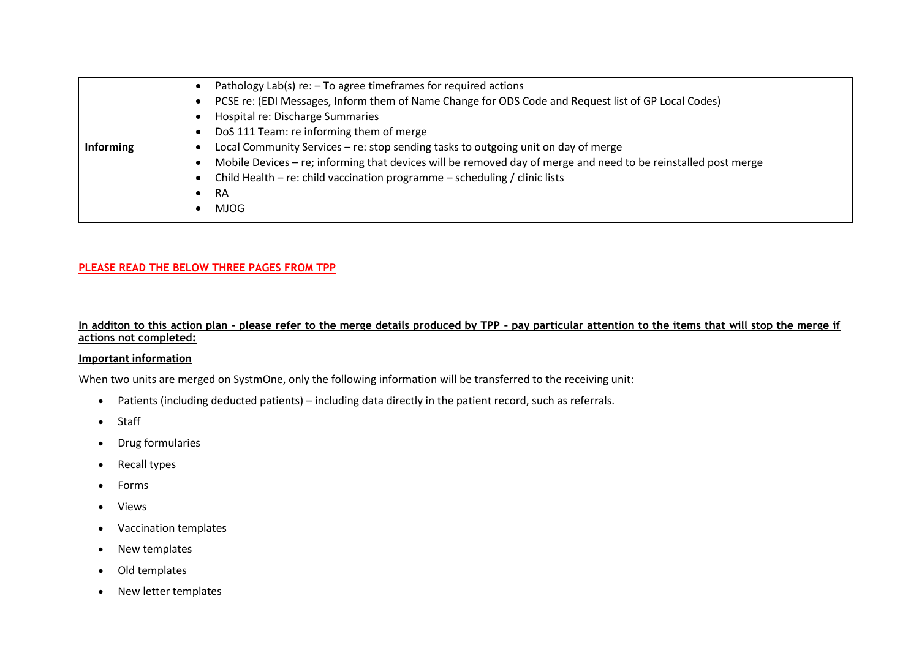|           | Pathology Lab(s) re: - To agree timeframes for required actions                                                             |
|-----------|-----------------------------------------------------------------------------------------------------------------------------|
|           | PCSE re: (EDI Messages, Inform them of Name Change for ODS Code and Request list of GP Local Codes)<br>$\bullet$            |
|           | Hospital re: Discharge Summaries                                                                                            |
|           | DoS 111 Team: re informing them of merge<br>$\bullet$                                                                       |
| Informing | Local Community Services - re: stop sending tasks to outgoing unit on day of merge                                          |
|           | Mobile Devices – re; informing that devices will be removed day of merge and need to be reinstalled post merge<br>$\bullet$ |
|           | Child Health – re: child vaccination programme – scheduling / clinic lists<br>٠                                             |
|           | RA<br>٠                                                                                                                     |
|           | <b>MJOG</b>                                                                                                                 |

#### **PLEASE READ THE BELOW THREE PAGES FROM TPP**

#### **In additon to this action plan – please refer to the merge details produced by TPP – pay particular attention to the items that will stop the merge if actions not completed:**

#### **Important information**

When two units are merged on SystmOne, only the following information will be transferred to the receiving unit:

- Patients (including deducted patients) including data directly in the patient record, such as referrals.
- Staff
- Drug formularies
- Recall types
- Forms
- Views
- Vaccination templates
- New templates
- Old templates
- New letter templates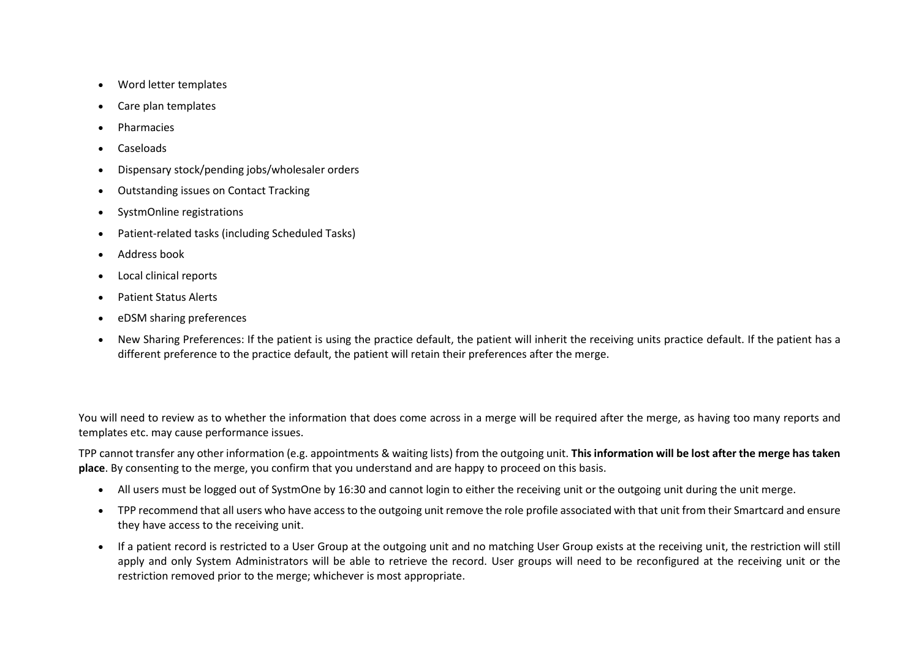- Word letter templates
- Care plan templates
- Pharmacies
- Caseloads
- Dispensary stock/pending jobs/wholesaler orders
- Outstanding issues on Contact Tracking
- SystmOnline registrations
- Patient-related tasks (including Scheduled Tasks)
- Address book
- Local clinical reports
- Patient Status Alerts
- eDSM sharing preferences
- New Sharing Preferences: If the patient is using the practice default, the patient will inherit the receiving units practice default. If the patient has a different preference to the practice default, the patient will retain their preferences after the merge.

You will need to review as to whether the information that does come across in a merge will be required after the merge, as having too many reports and templates etc. may cause performance issues.

TPP cannot transfer any other information (e.g. appointments & waiting lists) from the outgoing unit. **This information will be lost after the merge has taken place**. By consenting to the merge, you confirm that you understand and are happy to proceed on this basis.

- All users must be logged out of SystmOne by 16:30 and cannot login to either the receiving unit or the outgoing unit during the unit merge.
- TPP recommend that all users who have access to the outgoing unit remove the role profile associated with that unit from their Smartcard and ensure they have access to the receiving unit.
- If a patient record is restricted to a User Group at the outgoing unit and no matching User Group exists at the receiving unit, the restriction will still apply and only System Administrators will be able to retrieve the record. User groups will need to be reconfigured at the receiving unit or the restriction removed prior to the merge; whichever is most appropriate.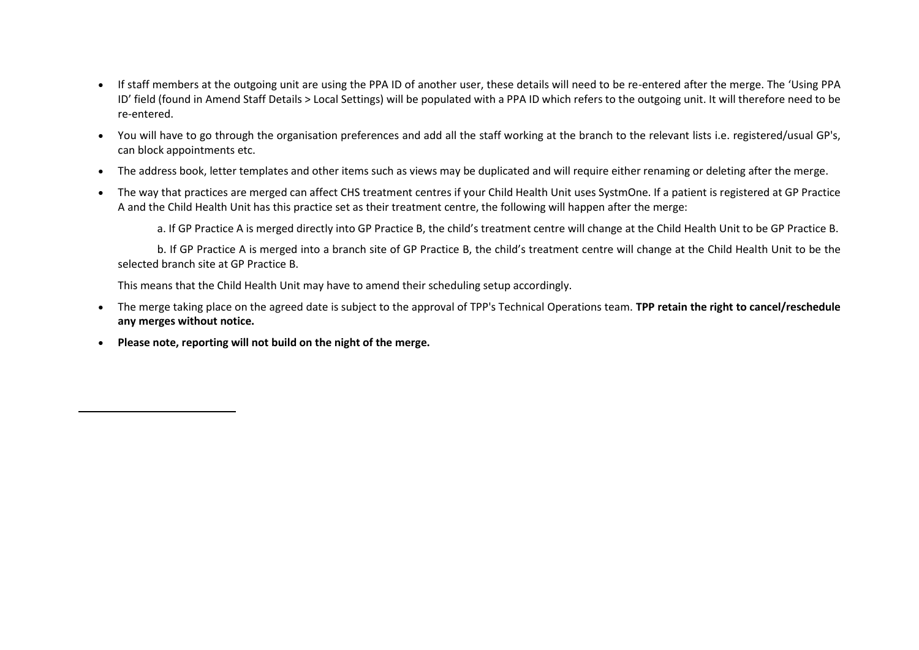- If staff members at the outgoing unit are using the PPA ID of another user, these details will need to be re-entered after the merge. The 'Using PPA ID' field (found in Amend Staff Details > Local Settings) will be populated with a PPA ID which refers to the outgoing unit. It will therefore need to be re-entered.
- You will have to go through the organisation preferences and add all the staff working at the branch to the relevant lists i.e. registered/usual GP's, can block appointments etc.
- The address book, letter templates and other items such as views may be duplicated and will require either renaming or deleting after the merge.
- The way that practices are merged can affect CHS treatment centres if your Child Health Unit uses SystmOne. If a patient is registered at GP Practice A and the Child Health Unit has this practice set as their treatment centre, the following will happen after the merge:

a. If GP Practice A is merged directly into GP Practice B, the child's treatment centre will change at the Child Health Unit to be GP Practice B.

b. If GP Practice A is merged into a branch site of GP Practice B, the child's treatment centre will change at the Child Health Unit to be the selected branch site at GP Practice B.

This means that the Child Health Unit may have to amend their scheduling setup accordingly.

- The merge taking place on the agreed date is subject to the approval of TPP's Technical Operations team. **TPP retain the right to cancel/reschedule any merges without notice.**
- **Please note, reporting will not build on the night of the merge.**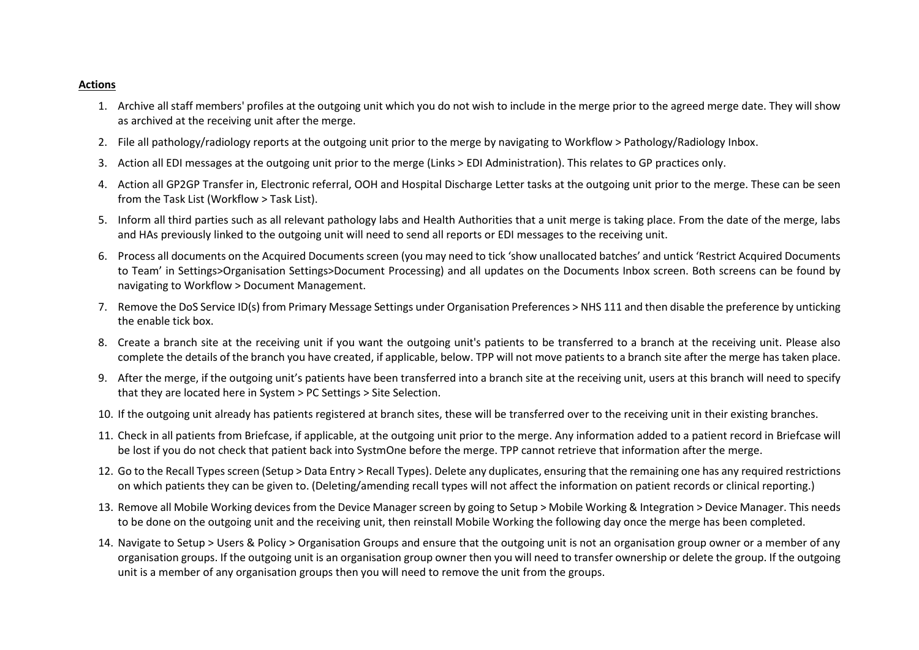#### **Actions**

- 1. Archive all staff members' profiles at the outgoing unit which you do not wish to include in the merge prior to the agreed merge date. They will show as archived at the receiving unit after the merge.
- 2. File all pathology/radiology reports at the outgoing unit prior to the merge by navigating to Workflow > Pathology/Radiology Inbox.
- 3. Action all EDI messages at the outgoing unit prior to the merge (Links > EDI Administration). This relates to GP practices only.
- 4. Action all GP2GP Transfer in, Electronic referral, OOH and Hospital Discharge Letter tasks at the outgoing unit prior to the merge. These can be seen from the Task List (Workflow > Task List).
- 5. Inform all third parties such as all relevant pathology labs and Health Authorities that a unit merge is taking place. From the date of the merge, labs and HAs previously linked to the outgoing unit will need to send all reports or EDI messages to the receiving unit.
- 6. Process all documents on the Acquired Documents screen (you may need to tick 'show unallocated batches' and untick 'Restrict Acquired Documents to Team' in Settings>Organisation Settings>Document Processing) and all updates on the Documents Inbox screen. Both screens can be found by navigating to Workflow > Document Management.
- 7. Remove the DoS Service ID(s) from Primary Message Settings under Organisation Preferences > NHS 111 and then disable the preference by unticking the enable tick box.
- 8. Create a branch site at the receiving unit if you want the outgoing unit's patients to be transferred to a branch at the receiving unit. Please also complete the details of the branch you have created, if applicable, below. TPP will not move patients to a branch site after the merge has taken place.
- 9. After the merge, if the outgoing unit's patients have been transferred into a branch site at the receiving unit, users at this branch will need to specify that they are located here in System > PC Settings > Site Selection.
- 10. If the outgoing unit already has patients registered at branch sites, these will be transferred over to the receiving unit in their existing branches.
- 11. Check in all patients from Briefcase, if applicable, at the outgoing unit prior to the merge. Any information added to a patient record in Briefcase will be lost if you do not check that patient back into SystmOne before the merge. TPP cannot retrieve that information after the merge.
- 12. Go to the Recall Types screen (Setup > Data Entry > Recall Types). Delete any duplicates, ensuring that the remaining one has any required restrictions on which patients they can be given to. (Deleting/amending recall types will not affect the information on patient records or clinical reporting.)
- 13. Remove all Mobile Working devices from the Device Manager screen by going to Setup > Mobile Working & Integration > Device Manager. This needs to be done on the outgoing unit and the receiving unit, then reinstall Mobile Working the following day once the merge has been completed.
- 14. Navigate to Setup > Users & Policy > Organisation Groups and ensure that the outgoing unit is not an organisation group owner or a member of any organisation groups. If the outgoing unit is an organisation group owner then you will need to transfer ownership or delete the group. If the outgoing unit is a member of any organisation groups then you will need to remove the unit from the groups.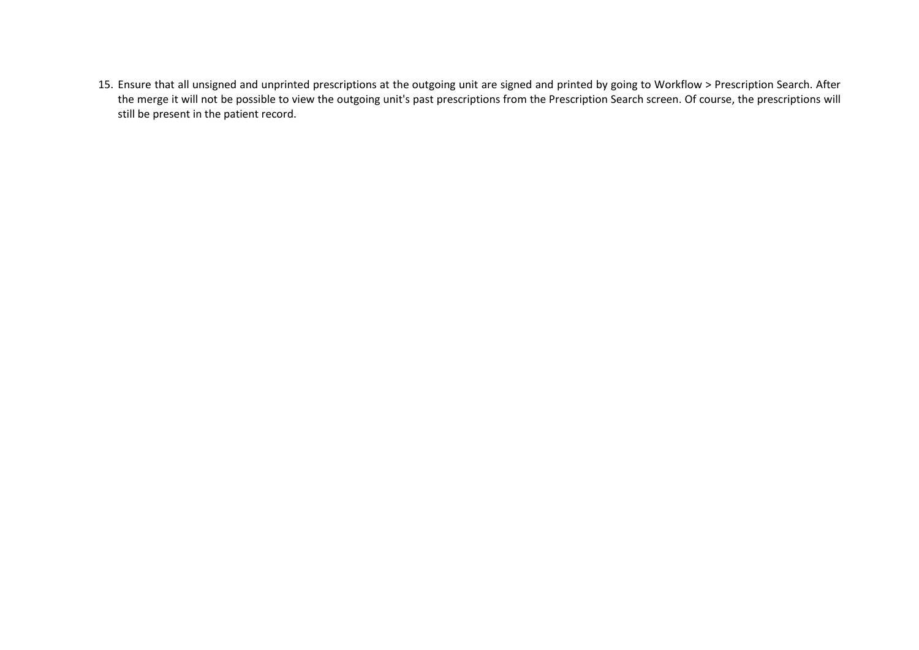15. Ensure that all unsigned and unprinted prescriptions at the outgoing unit are signed and printed by going to Workflow > Prescription Search. After the merge it will not be possible to view the outgoing unit's past prescriptions from the Prescription Search screen. Of course, the prescriptions will still be present in the patient record.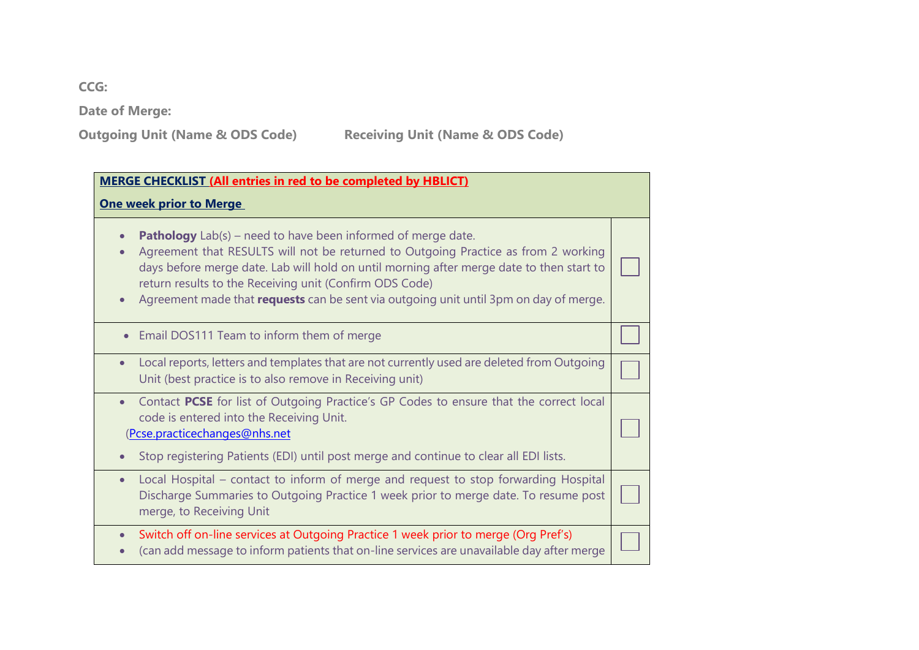**CCG:** 

**Date of Merge:** 

**Outgoing Unit (Name & ODS Code)** Receiving Unit (Name & ODS Code)

| <b>MERGE CHECKLIST (All entries in red to be completed by HBLICT)</b><br><b>One week prior to Merge</b>                                                                                                                                                                                                                                                                                                            |  |  |  |
|--------------------------------------------------------------------------------------------------------------------------------------------------------------------------------------------------------------------------------------------------------------------------------------------------------------------------------------------------------------------------------------------------------------------|--|--|--|
| <b>Pathology</b> $Lab(s)$ – need to have been informed of merge date.<br>Agreement that RESULTS will not be returned to Outgoing Practice as from 2 working<br>days before merge date. Lab will hold on until morning after merge date to then start to<br>return results to the Receiving unit (Confirm ODS Code)<br>Agreement made that <b>requests</b> can be sent via outgoing unit until 3pm on day of merge. |  |  |  |
| Email DOS111 Team to inform them of merge                                                                                                                                                                                                                                                                                                                                                                          |  |  |  |
| Local reports, letters and templates that are not currently used are deleted from Outgoing<br>$\bullet$<br>Unit (best practice is to also remove in Receiving unit)                                                                                                                                                                                                                                                |  |  |  |
| Contact PCSE for list of Outgoing Practice's GP Codes to ensure that the correct local<br>$\bullet$<br>code is entered into the Receiving Unit.<br>(Pcse.practicechanges@nhs.net<br>Stop registering Patients (EDI) until post merge and continue to clear all EDI lists.                                                                                                                                          |  |  |  |
| Local Hospital – contact to inform of merge and request to stop forwarding Hospital<br>$\bullet$<br>Discharge Summaries to Outgoing Practice 1 week prior to merge date. To resume post<br>merge, to Receiving Unit                                                                                                                                                                                                |  |  |  |
| Switch off on-line services at Outgoing Practice 1 week prior to merge (Org Pref's)<br>$\bullet$<br>(can add message to inform patients that on-line services are unavailable day after merge                                                                                                                                                                                                                      |  |  |  |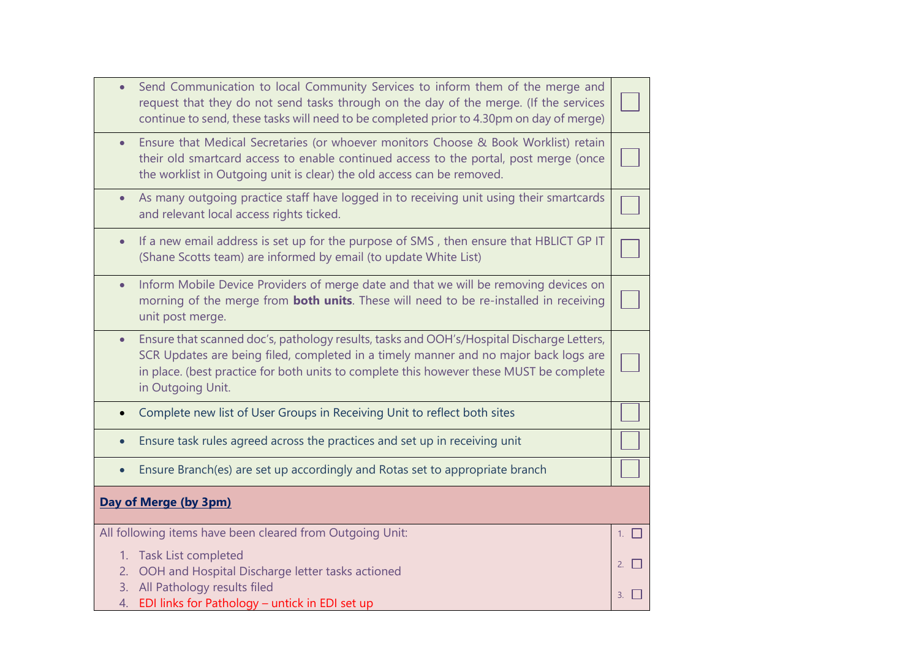| $\bullet$             | Send Communication to local Community Services to inform them of the merge and<br>request that they do not send tasks through on the day of the merge. (If the services<br>continue to send, these tasks will need to be completed prior to 4.30pm on day of merge)                               |           |  |
|-----------------------|---------------------------------------------------------------------------------------------------------------------------------------------------------------------------------------------------------------------------------------------------------------------------------------------------|-----------|--|
| $\bullet$             | Ensure that Medical Secretaries (or whoever monitors Choose & Book Worklist) retain<br>their old smartcard access to enable continued access to the portal, post merge (once<br>the worklist in Outgoing unit is clear) the old access can be removed.                                            |           |  |
| $\bullet$             | As many outgoing practice staff have logged in to receiving unit using their smartcards<br>and relevant local access rights ticked.                                                                                                                                                               |           |  |
| $\bullet$             | If a new email address is set up for the purpose of SMS, then ensure that HBLICT GP IT<br>(Shane Scotts team) are informed by email (to update White List)                                                                                                                                        |           |  |
| $\bullet$             | Inform Mobile Device Providers of merge date and that we will be removing devices on<br>morning of the merge from <b>both units</b> . These will need to be re-installed in receiving<br>unit post merge.                                                                                         |           |  |
| $\bullet$             | Ensure that scanned doc's, pathology results, tasks and OOH's/Hospital Discharge Letters,<br>SCR Updates are being filed, completed in a timely manner and no major back logs are<br>in place. (best practice for both units to complete this however these MUST be complete<br>in Outgoing Unit. |           |  |
| $\bullet$             | Complete new list of User Groups in Receiving Unit to reflect both sites                                                                                                                                                                                                                          |           |  |
|                       | Ensure task rules agreed across the practices and set up in receiving unit                                                                                                                                                                                                                        |           |  |
| $\bullet$             | Ensure Branch(es) are set up accordingly and Rotas set to appropriate branch                                                                                                                                                                                                                      |           |  |
| Day of Merge (by 3pm) |                                                                                                                                                                                                                                                                                                   |           |  |
|                       | All following items have been cleared from Outgoing Unit:                                                                                                                                                                                                                                         | 1. $\Box$ |  |
| 2.<br>3.              | 1. Task List completed<br>OOH and Hospital Discharge letter tasks actioned<br>All Pathology results filed                                                                                                                                                                                         | 2.        |  |
| 4.                    | EDI links for Pathology - untick in EDI set up                                                                                                                                                                                                                                                    | 3.        |  |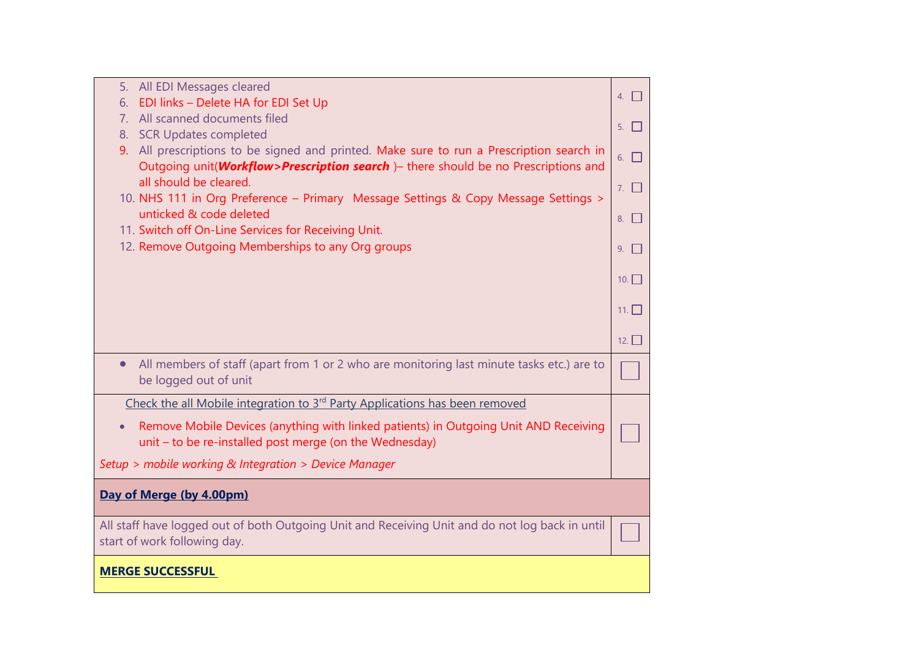| 5. All EDI Messages cleared                                                                            | 4. $\Box$            |
|--------------------------------------------------------------------------------------------------------|----------------------|
| EDI links - Delete HA for EDI Set Up<br>6.                                                             |                      |
| 7. All scanned documents filed                                                                         | $5. \mid \cdot \mid$ |
| 8. SCR Updates completed                                                                               |                      |
| 9. All prescriptions to be signed and printed. Make sure to run a Prescription search in               | $6. \Box$            |
| Outgoing unit( <i>Workflow&gt;Prescription search</i> ) - there should be no Prescriptions and         |                      |
| all should be cleared.                                                                                 | 7. $\Box$            |
| 10. NHS 111 in Org Preference - Primary Message Settings & Copy Message Settings >                     |                      |
| unticked & code deleted<br>11. Switch off On-Line Services for Receiving Unit.                         | $8. \mid$            |
| 12. Remove Outgoing Memberships to any Org groups                                                      |                      |
|                                                                                                        | $9. \mid \cdot \mid$ |
|                                                                                                        | 10.                  |
|                                                                                                        |                      |
|                                                                                                        | $11. \Box$           |
|                                                                                                        |                      |
|                                                                                                        | 12.                  |
| All members of staff (apart from 1 or 2 who are monitoring last minute tasks etc.) are to<br>$\bullet$ |                      |
| be logged out of unit                                                                                  |                      |
| Check the all Mobile integration to 3 <sup>rd</sup> Party Applications has been removed                |                      |
| Remove Mobile Devices (anything with linked patients) in Outgoing Unit AND Receiving<br>$\bullet$      |                      |
| unit - to be re-installed post merge (on the Wednesday)                                                |                      |
|                                                                                                        |                      |
| Setup > mobile working & Integration > Device Manager                                                  |                      |
| Day of Merge (by 4.00pm)                                                                               |                      |
|                                                                                                        |                      |
| All staff have logged out of both Outgoing Unit and Receiving Unit and do not log back in until        |                      |
| start of work following day.                                                                           |                      |
|                                                                                                        |                      |
| <b>MERGE SUCCESSFUL</b>                                                                                |                      |